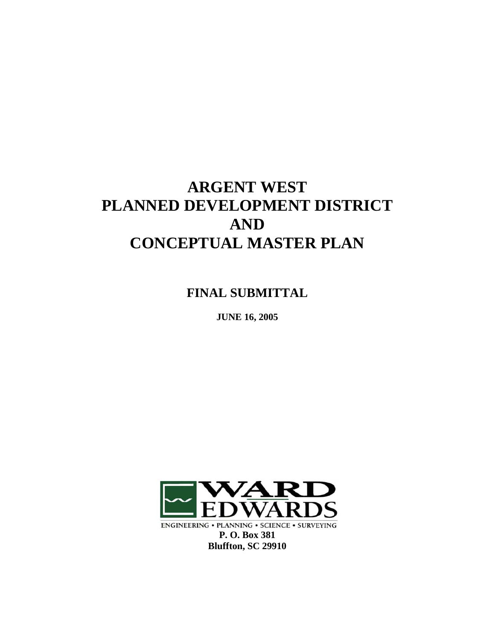# **ARGENT WEST PLANNED DEVELOPMENT DISTRICT AND CONCEPTUAL MASTER PLAN**

**FINAL SUBMITTAL** 

**JUNE 16, 2005** 



**ENGINEERING • PLANNING • SCIENCE • SURVEYING**<br>**P. O. Box 381 Bluffton, SC 29910**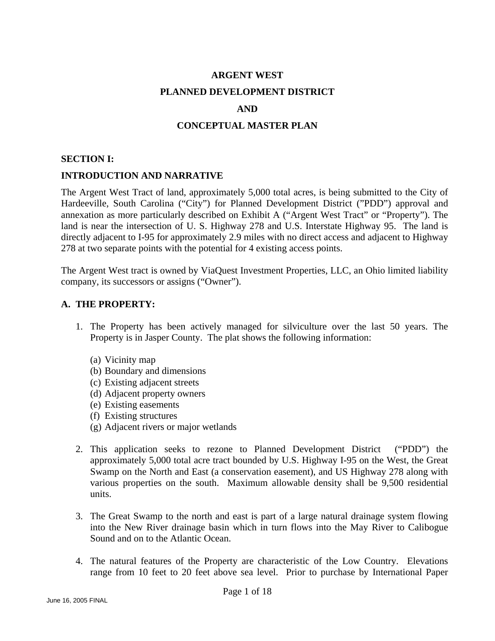# **ARGENT WEST PLANNED DEVELOPMENT DISTRICT**

### **AND**

### **CONCEPTUAL MASTER PLAN**

### **SECTION I:**

### **INTRODUCTION AND NARRATIVE**

The Argent West Tract of land, approximately 5,000 total acres, is being submitted to the City of Hardeeville, South Carolina ("City") for Planned Development District ("PDD") approval and annexation as more particularly described on Exhibit A ("Argent West Tract" or "Property"). The land is near the intersection of U. S. Highway 278 and U.S. Interstate Highway 95. The land is directly adjacent to I-95 for approximately 2.9 miles with no direct access and adjacent to Highway 278 at two separate points with the potential for 4 existing access points.

The Argent West tract is owned by ViaQuest Investment Properties, LLC, an Ohio limited liability company, its successors or assigns ("Owner").

### **A. THE PROPERTY:**

- 1. The Property has been actively managed for silviculture over the last 50 years. The Property is in Jasper County. The plat shows the following information:
	- (a) Vicinity map
	- (b) Boundary and dimensions
	- (c) Existing adjacent streets
	- (d) Adjacent property owners
	- (e) Existing easements
	- (f) Existing structures
	- (g) Adjacent rivers or major wetlands
- 2. This application seeks to rezone to Planned Development District ("PDD") the approximately 5,000 total acre tract bounded by U.S. Highway I-95 on the West, the Great Swamp on the North and East (a conservation easement), and US Highway 278 along with various properties on the south. Maximum allowable density shall be 9,500 residential units.
- 3. The Great Swamp to the north and east is part of a large natural drainage system flowing into the New River drainage basin which in turn flows into the May River to Calibogue Sound and on to the Atlantic Ocean.
- 4. The natural features of the Property are characteristic of the Low Country. Elevations range from 10 feet to 20 feet above sea level. Prior to purchase by International Paper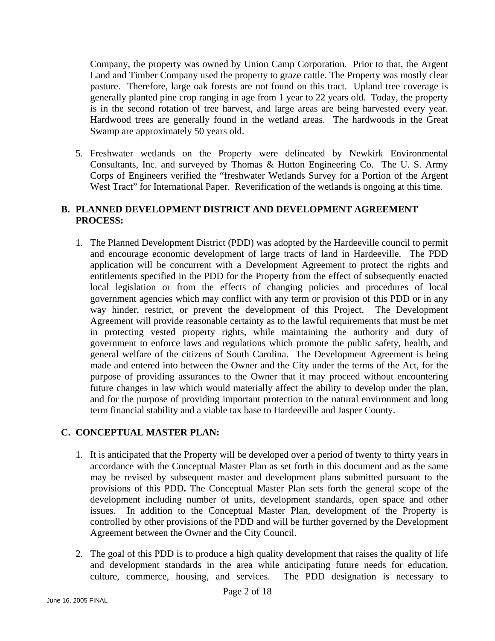Company, the property was owned by Union Camp Corporation. Prior to that, the Argent Land and Timber Company used the property to graze cattle. The Property was mostly clear pasture. Therefore, large oak forests are not found on this tract. Upland tree coverage is generally planted pine crop ranging in age from 1 year to 22 years old. Today, the property is in the second rotation of tree harvest, and large areas are being harvested every year. Hardwood trees are generally found in the wetland areas. The hardwoods in the Great Swamp are approximately 50 years old.

5. Freshwater wetlands on the Property were delineated by Newkirk Environmental Consultants, Inc. and surveyed by Thomas & Hutton Engineering Co. The U. S. Army Corps of Engineers verified the "freshwater Wetlands Survey for a Portion of the Argent West Tract" for International Paper. Reverification of the wetlands is ongoing at this time.

### **B. PLANNED DEVELOPMENT DISTRICT AND DEVELOPMENT AGREEMENT PROCESS:**

1. The Planned Development District (PDD) was adopted by the Hardeeville council to permit and encourage economic development of large tracts of land in Hardeeville. The PDD application will be concurrent with a Development Agreement to protect the rights and entitlements specified in the PDD for the Property from the effect of subsequently enacted local legislation or from the effects of changing policies and procedures of local government agencies which may conflict with any term or provision of this PDD or in any way hinder, restrict, or prevent the development of this Project. The Development Agreement will provide reasonable certainty as to the lawful requirements that must be met in protecting vested property rights, while maintaining the authority and duty of government to enforce laws and regulations which promote the public safety, health, and general welfare of the citizens of South Carolina. The Development Agreement is being made and entered into between the Owner and the City under the terms of the Act, for the purpose of providing assurances to the Owner that it may proceed without encountering future changes in law which would materially affect the ability to develop under the plan, and for the purpose of providing important protection to the natural environment and long term financial stability and a viable tax base to Hardeeville and Jasper County.

### **C. CONCEPTUAL MASTER PLAN:**

- 1. It is anticipated that the Property will be developed over a period of twenty to thirty years in accordance with the Conceptual Master Plan as set forth in this document and as the same may be revised by subsequent master and development plans submitted pursuant to the provisions of this PDD**.** The Conceptual Master Plan sets forth the general scope of the development including number of units, development standards, open space and other issues. In addition to the Conceptual Master Plan, development of the Property is controlled by other provisions of the PDD and will be further governed by the Development Agreement between the Owner and the City Council.
- 2. The goal of this PDD is to produce a high quality development that raises the quality of life and development standards in the area while anticipating future needs for education, culture, commerce, housing, and services. The PDD designation is necessary to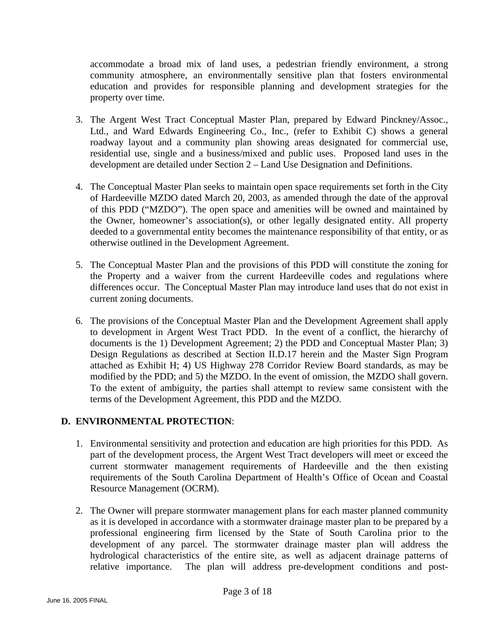accommodate a broad mix of land uses, a pedestrian friendly environment, a strong community atmosphere, an environmentally sensitive plan that fosters environmental education and provides for responsible planning and development strategies for the property over time.

- 3. The Argent West Tract Conceptual Master Plan, prepared by Edward Pinckney/Assoc., Ltd., and Ward Edwards Engineering Co., Inc., (refer to Exhibit C) shows a general roadway layout and a community plan showing areas designated for commercial use, residential use, single and a business/mixed and public uses. Proposed land uses in the development are detailed under Section 2 – Land Use Designation and Definitions.
- 4. The Conceptual Master Plan seeks to maintain open space requirements set forth in the City of Hardeeville MZDO dated March 20, 2003, as amended through the date of the approval of this PDD ("MZDO"). The open space and amenities will be owned and maintained by the Owner, homeowner's association(s), or other legally designated entity. All property deeded to a governmental entity becomes the maintenance responsibility of that entity, or as otherwise outlined in the Development Agreement.
- 5. The Conceptual Master Plan and the provisions of this PDD will constitute the zoning for the Property and a waiver from the current Hardeeville codes and regulations where differences occur. The Conceptual Master Plan may introduce land uses that do not exist in current zoning documents.
- 6. The provisions of the Conceptual Master Plan and the Development Agreement shall apply to development in Argent West Tract PDD. In the event of a conflict, the hierarchy of documents is the 1) Development Agreement; 2) the PDD and Conceptual Master Plan; 3) Design Regulations as described at Section II.D.17 herein and the Master Sign Program attached as Exhibit H; 4) US Highway 278 Corridor Review Board standards, as may be modified by the PDD; and 5) the MZDO. In the event of omission, the MZDO shall govern. To the extent of ambiguity, the parties shall attempt to review same consistent with the terms of the Development Agreement, this PDD and the MZDO.

### **D. ENVIRONMENTAL PROTECTION**:

- 1. Environmental sensitivity and protection and education are high priorities for this PDD. As part of the development process, the Argent West Tract developers will meet or exceed the current stormwater management requirements of Hardeeville and the then existing requirements of the South Carolina Department of Health's Office of Ocean and Coastal Resource Management (OCRM).
- 2. The Owner will prepare stormwater management plans for each master planned community as it is developed in accordance with a stormwater drainage master plan to be prepared by a professional engineering firm licensed by the State of South Carolina prior to the development of any parcel. The stormwater drainage master plan will address the hydrological characteristics of the entire site, as well as adjacent drainage patterns of relative importance. The plan will address pre-development conditions and post-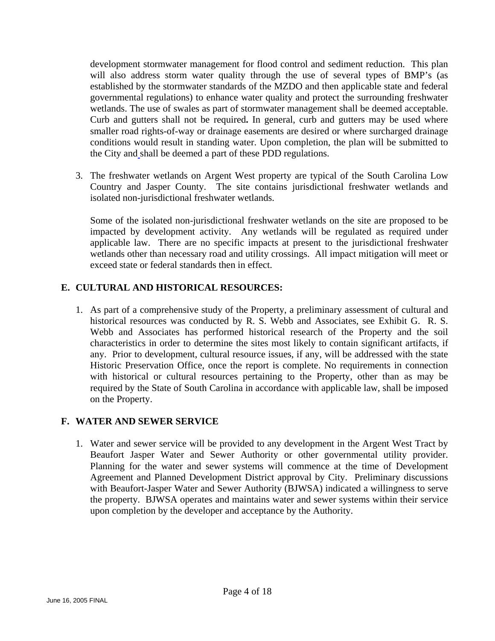development stormwater management for flood control and sediment reduction. This plan will also address storm water quality through the use of several types of BMP's (as established by the stormwater standards of the MZDO and then applicable state and federal governmental regulations) to enhance water quality and protect the surrounding freshwater wetlands. The use of swales as part of stormwater management shall be deemed acceptable. Curb and gutters shall not be required**.** In general, curb and gutters may be used where smaller road rights-of-way or drainage easements are desired or where surcharged drainage conditions would result in standing water. Upon completion, the plan will be submitted to the City and shall be deemed a part of these PDD regulations.

3. The freshwater wetlands on Argent West property are typical of the South Carolina Low Country and Jasper County. The site contains jurisdictional freshwater wetlands and isolated non-jurisdictional freshwater wetlands.

Some of the isolated non-jurisdictional freshwater wetlands on the site are proposed to be impacted by development activity. Any wetlands will be regulated as required under applicable law. There are no specific impacts at present to the jurisdictional freshwater wetlands other than necessary road and utility crossings. All impact mitigation will meet or exceed state or federal standards then in effect.

### **E. CULTURAL AND HISTORICAL RESOURCES:**

1. As part of a comprehensive study of the Property, a preliminary assessment of cultural and historical resources was conducted by R. S. Webb and Associates, see Exhibit G. R. S. Webb and Associates has performed historical research of the Property and the soil characteristics in order to determine the sites most likely to contain significant artifacts, if any. Prior to development, cultural resource issues, if any, will be addressed with the state Historic Preservation Office, once the report is complete. No requirements in connection with historical or cultural resources pertaining to the Property, other than as may be required by the State of South Carolina in accordance with applicable law, shall be imposed on the Property.

### **F. WATER AND SEWER SERVICE**

1. Water and sewer service will be provided to any development in the Argent West Tract by Beaufort Jasper Water and Sewer Authority or other governmental utility provider. Planning for the water and sewer systems will commence at the time of Development Agreement and Planned Development District approval by City. Preliminary discussions with Beaufort-Jasper Water and Sewer Authority (BJWSA) indicated a willingness to serve the property. BJWSA operates and maintains water and sewer systems within their service upon completion by the developer and acceptance by the Authority.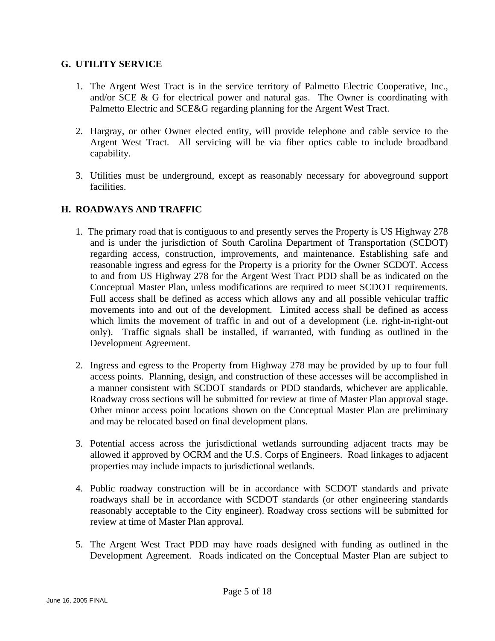### **G. UTILITY SERVICE**

- 1. The Argent West Tract is in the service territory of Palmetto Electric Cooperative, Inc., and/or SCE & G for electrical power and natural gas. The Owner is coordinating with Palmetto Electric and SCE&G regarding planning for the Argent West Tract.
- 2. Hargray, or other Owner elected entity, will provide telephone and cable service to the Argent West Tract. All servicing will be via fiber optics cable to include broadband capability.
- 3. Utilities must be underground, except as reasonably necessary for aboveground support facilities.

### **H. ROADWAYS AND TRAFFIC**

- 1. The primary road that is contiguous to and presently serves the Property is US Highway 278 and is under the jurisdiction of South Carolina Department of Transportation (SCDOT) regarding access, construction, improvements, and maintenance. Establishing safe and reasonable ingress and egress for the Property is a priority for the Owner SCDOT. Access to and from US Highway 278 for the Argent West Tract PDD shall be as indicated on the Conceptual Master Plan, unless modifications are required to meet SCDOT requirements. Full access shall be defined as access which allows any and all possible vehicular traffic movements into and out of the development. Limited access shall be defined as access which limits the movement of traffic in and out of a development (i.e. right-in-right-out only). Traffic signals shall be installed, if warranted, with funding as outlined in the Development Agreement.
- 2. Ingress and egress to the Property from Highway 278 may be provided by up to four full access points. Planning, design, and construction of these accesses will be accomplished in a manner consistent with SCDOT standards or PDD standards, whichever are applicable. Roadway cross sections will be submitted for review at time of Master Plan approval stage. Other minor access point locations shown on the Conceptual Master Plan are preliminary and may be relocated based on final development plans.
- 3. Potential access across the jurisdictional wetlands surrounding adjacent tracts may be allowed if approved by OCRM and the U.S. Corps of Engineers. Road linkages to adjacent properties may include impacts to jurisdictional wetlands.
- 4. Public roadway construction will be in accordance with SCDOT standards and private roadways shall be in accordance with SCDOT standards (or other engineering standards reasonably acceptable to the City engineer). Roadway cross sections will be submitted for review at time of Master Plan approval.
- 5. The Argent West Tract PDD may have roads designed with funding as outlined in the Development Agreement. Roads indicated on the Conceptual Master Plan are subject to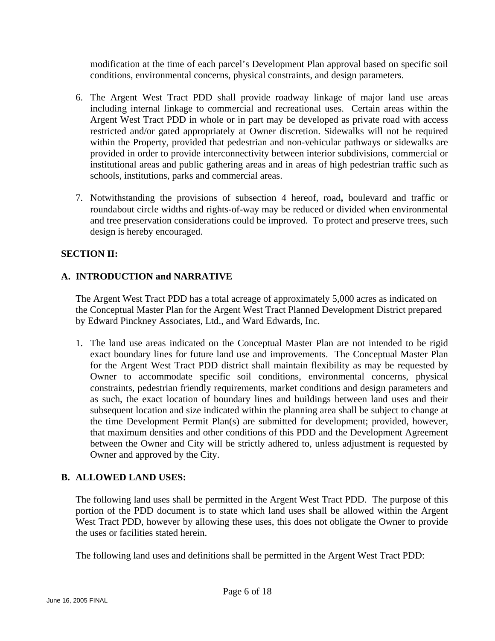modification at the time of each parcel's Development Plan approval based on specific soil conditions, environmental concerns, physical constraints, and design parameters.

- 6. The Argent West Tract PDD shall provide roadway linkage of major land use areas including internal linkage to commercial and recreational uses. Certain areas within the Argent West Tract PDD in whole or in part may be developed as private road with access restricted and/or gated appropriately at Owner discretion. Sidewalks will not be required within the Property, provided that pedestrian and non-vehicular pathways or sidewalks are provided in order to provide interconnectivity between interior subdivisions, commercial or institutional areas and public gathering areas and in areas of high pedestrian traffic such as schools, institutions, parks and commercial areas.
- 7. Notwithstanding the provisions of subsection 4 hereof, road**,** boulevard and traffic or roundabout circle widths and rights-of-way may be reduced or divided when environmental and tree preservation considerations could be improved. To protect and preserve trees, such design is hereby encouraged.

### **SECTION II:**

### **A. INTRODUCTION and NARRATIVE**

The Argent West Tract PDD has a total acreage of approximately 5,000 acres as indicated on the Conceptual Master Plan for the Argent West Tract Planned Development District prepared by Edward Pinckney Associates, Ltd., and Ward Edwards, Inc.

1. The land use areas indicated on the Conceptual Master Plan are not intended to be rigid exact boundary lines for future land use and improvements. The Conceptual Master Plan for the Argent West Tract PDD district shall maintain flexibility as may be requested by Owner to accommodate specific soil conditions, environmental concerns, physical constraints, pedestrian friendly requirements, market conditions and design parameters and as such, the exact location of boundary lines and buildings between land uses and their subsequent location and size indicated within the planning area shall be subject to change at the time Development Permit Plan(s) are submitted for development; provided, however, that maximum densities and other conditions of this PDD and the Development Agreement between the Owner and City will be strictly adhered to, unless adjustment is requested by Owner and approved by the City.

### **B. ALLOWED LAND USES:**

The following land uses shall be permitted in the Argent West Tract PDD. The purpose of this portion of the PDD document is to state which land uses shall be allowed within the Argent West Tract PDD, however by allowing these uses, this does not obligate the Owner to provide the uses or facilities stated herein.

The following land uses and definitions shall be permitted in the Argent West Tract PDD: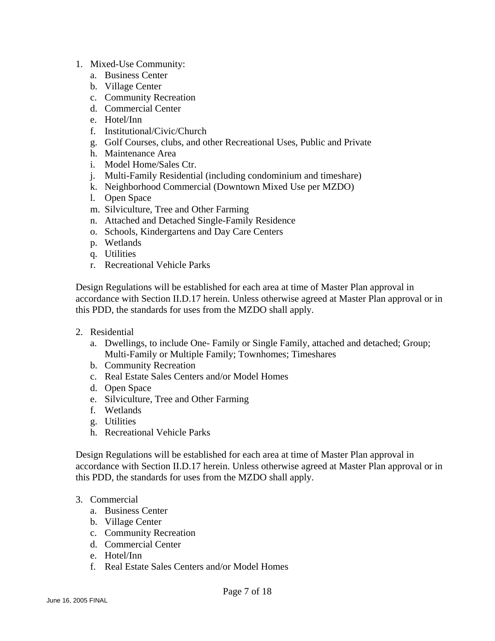- 1. Mixed-Use Community:
	- a. Business Center
	- b. Village Center
	- c. Community Recreation
	- d. Commercial Center
	- e. Hotel/Inn
	- f. Institutional/Civic/Church
	- g. Golf Courses, clubs, and other Recreational Uses, Public and Private
	- h. Maintenance Area
	- i. Model Home/Sales Ctr.
	- j. Multi-Family Residential (including condominium and timeshare)
	- k. Neighborhood Commercial (Downtown Mixed Use per MZDO)
	- l. Open Space
	- m. Silviculture, Tree and Other Farming
	- n. Attached and Detached Single-Family Residence
	- o. Schools, Kindergartens and Day Care Centers
	- p. Wetlands
	- q. Utilities
	- r. Recreational Vehicle Parks

Design Regulations will be established for each area at time of Master Plan approval in accordance with Section II.D.17 herein. Unless otherwise agreed at Master Plan approval or in this PDD, the standards for uses from the MZDO shall apply.

- 2. Residential
	- a. Dwellings, to include One- Family or Single Family, attached and detached; Group; Multi-Family or Multiple Family; Townhomes; Timeshares
	- b. Community Recreation
	- c. Real Estate Sales Centers and/or Model Homes
	- d. Open Space
	- e. Silviculture, Tree and Other Farming
	- f. Wetlands
	- g. Utilities
	- h. Recreational Vehicle Parks

Design Regulations will be established for each area at time of Master Plan approval in accordance with Section II.D.17 herein. Unless otherwise agreed at Master Plan approval or in this PDD, the standards for uses from the MZDO shall apply.

### 3. Commercial

- a. Business Center
- b. Village Center
- c. Community Recreation
- d. Commercial Center
- e. Hotel/Inn
- f. Real Estate Sales Centers and/or Model Homes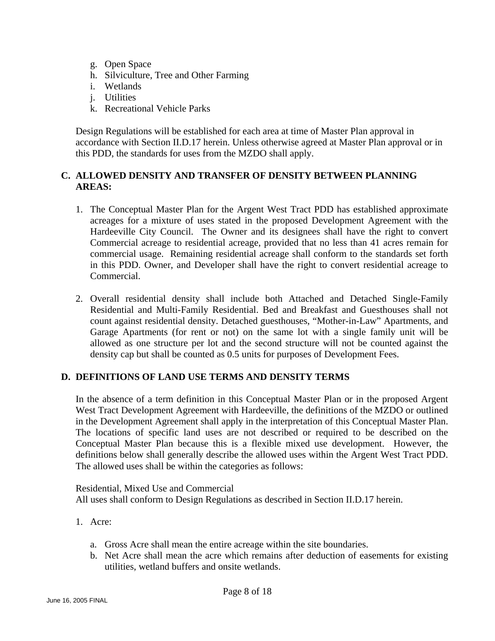- g. Open Space
- h. Silviculture, Tree and Other Farming
- i. Wetlands
- j. Utilities
- k. Recreational Vehicle Parks

Design Regulations will be established for each area at time of Master Plan approval in accordance with Section II.D.17 herein. Unless otherwise agreed at Master Plan approval or in this PDD, the standards for uses from the MZDO shall apply.

### **C. ALLOWED DENSITY AND TRANSFER OF DENSITY BETWEEN PLANNING AREAS:**

- 1. The Conceptual Master Plan for the Argent West Tract PDD has established approximate acreages for a mixture of uses stated in the proposed Development Agreement with the Hardeeville City Council. The Owner and its designees shall have the right to convert Commercial acreage to residential acreage, provided that no less than 41 acres remain for commercial usage. Remaining residential acreage shall conform to the standards set forth in this PDD. Owner, and Developer shall have the right to convert residential acreage to Commercial.
- 2. Overall residential density shall include both Attached and Detached Single-Family Residential and Multi-Family Residential. Bed and Breakfast and Guesthouses shall not count against residential density. Detached guesthouses, "Mother-in-Law" Apartments, and Garage Apartments (for rent or not) on the same lot with a single family unit will be allowed as one structure per lot and the second structure will not be counted against the density cap but shall be counted as 0.5 units for purposes of Development Fees.

### **D. DEFINITIONS OF LAND USE TERMS AND DENSITY TERMS**

In the absence of a term definition in this Conceptual Master Plan or in the proposed Argent West Tract Development Agreement with Hardeeville, the definitions of the MZDO or outlined in the Development Agreement shall apply in the interpretation of this Conceptual Master Plan. The locations of specific land uses are not described or required to be described on the Conceptual Master Plan because this is a flexible mixed use development. However, the definitions below shall generally describe the allowed uses within the Argent West Tract PDD. The allowed uses shall be within the categories as follows:

Residential, Mixed Use and Commercial All uses shall conform to Design Regulations as described in Section II.D.17 herein.

- 1. Acre:
	- a. Gross Acre shall mean the entire acreage within the site boundaries.
	- b. Net Acre shall mean the acre which remains after deduction of easements for existing utilities, wetland buffers and onsite wetlands.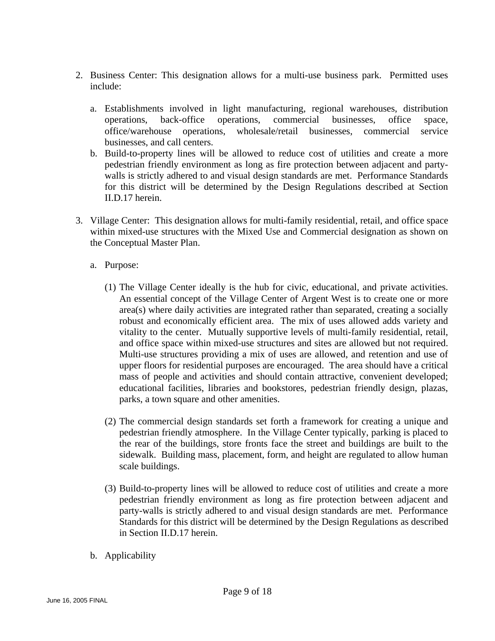- 2. Business Center: This designation allows for a multi-use business park. Permitted uses include:
	- a. Establishments involved in light manufacturing, regional warehouses, distribution operations, back-office operations, commercial businesses, office space, office/warehouse operations, wholesale/retail businesses, commercial service businesses, and call centers.
	- b. Build-to-property lines will be allowed to reduce cost of utilities and create a more pedestrian friendly environment as long as fire protection between adjacent and partywalls is strictly adhered to and visual design standards are met. Performance Standards for this district will be determined by the Design Regulations described at Section II.D.17 herein.
- 3. Village Center: This designation allows for multi-family residential, retail, and office space within mixed-use structures with the Mixed Use and Commercial designation as shown on the Conceptual Master Plan.
	- a. Purpose:
		- (1) The Village Center ideally is the hub for civic, educational, and private activities. An essential concept of the Village Center of Argent West is to create one or more area(s) where daily activities are integrated rather than separated, creating a socially robust and economically efficient area. The mix of uses allowed adds variety and vitality to the center. Mutually supportive levels of multi-family residential, retail, and office space within mixed-use structures and sites are allowed but not required. Multi-use structures providing a mix of uses are allowed, and retention and use of upper floors for residential purposes are encouraged. The area should have a critical mass of people and activities and should contain attractive, convenient developed; educational facilities, libraries and bookstores, pedestrian friendly design, plazas, parks, a town square and other amenities.
		- (2) The commercial design standards set forth a framework for creating a unique and pedestrian friendly atmosphere. In the Village Center typically, parking is placed to the rear of the buildings, store fronts face the street and buildings are built to the sidewalk. Building mass, placement, form, and height are regulated to allow human scale buildings.
		- (3) Build-to-property lines will be allowed to reduce cost of utilities and create a more pedestrian friendly environment as long as fire protection between adjacent and party-walls is strictly adhered to and visual design standards are met. Performance Standards for this district will be determined by the Design Regulations as described in Section II.D.17 herein.
	- b. Applicability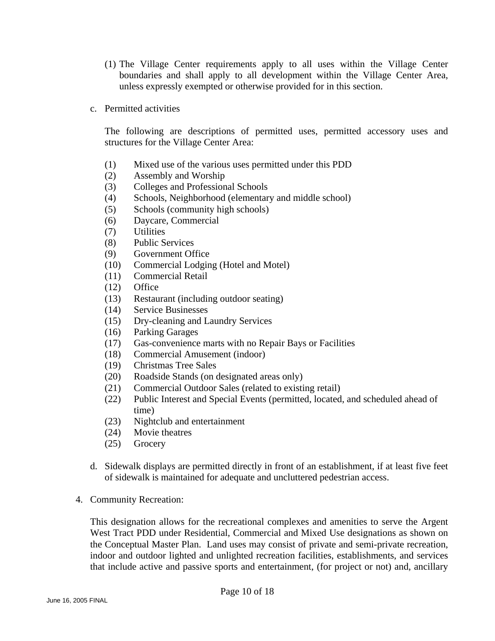- (1) The Village Center requirements apply to all uses within the Village Center boundaries and shall apply to all development within the Village Center Area, unless expressly exempted or otherwise provided for in this section.
- c. Permitted activities

The following are descriptions of permitted uses, permitted accessory uses and structures for the Village Center Area:

- (1) Mixed use of the various uses permitted under this PDD
- (2) Assembly and Worship
- (3) Colleges and Professional Schools
- (4) Schools, Neighborhood (elementary and middle school)
- (5) Schools (community high schools)
- (6) Daycare, Commercial
- (7) Utilities
- (8) Public Services
- (9) Government Office
- (10) Commercial Lodging (Hotel and Motel)
- (11) Commercial Retail
- (12) Office
- (13) Restaurant (including outdoor seating)
- (14) Service Businesses
- (15) Dry-cleaning and Laundry Services
- (16) Parking Garages
- (17) Gas-convenience marts with no Repair Bays or Facilities
- (18) Commercial Amusement (indoor)
- (19) Christmas Tree Sales
- (20) Roadside Stands (on designated areas only)
- (21) Commercial Outdoor Sales (related to existing retail)
- (22) Public Interest and Special Events (permitted, located, and scheduled ahead of time)
- (23) Nightclub and entertainment
- (24) Movie theatres
- (25) Grocery
- d. Sidewalk displays are permitted directly in front of an establishment, if at least five feet of sidewalk is maintained for adequate and uncluttered pedestrian access.
- 4. Community Recreation:

This designation allows for the recreational complexes and amenities to serve the Argent West Tract PDD under Residential, Commercial and Mixed Use designations as shown on the Conceptual Master Plan. Land uses may consist of private and semi-private recreation, indoor and outdoor lighted and unlighted recreation facilities, establishments, and services that include active and passive sports and entertainment, (for project or not) and, ancillary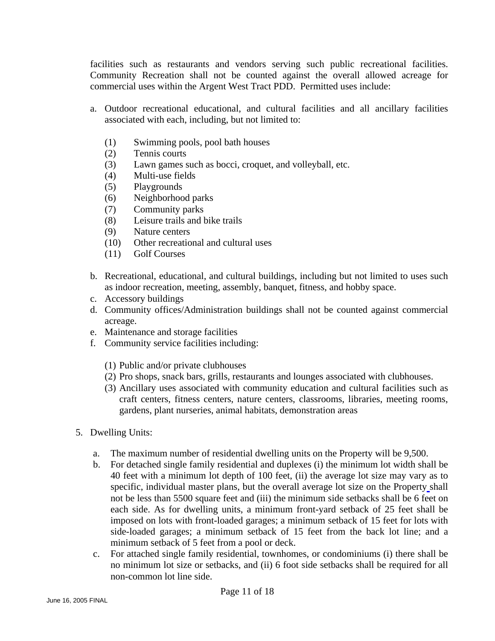facilities such as restaurants and vendors serving such public recreational facilities. Community Recreation shall not be counted against the overall allowed acreage for commercial uses within the Argent West Tract PDD. Permitted uses include:

- a. Outdoor recreational educational, and cultural facilities and all ancillary facilities associated with each, including, but not limited to:
	- (1) Swimming pools, pool bath houses
	- (2) Tennis courts
	- (3) Lawn games such as bocci, croquet, and volleyball, etc.
	- (4) Multi-use fields
	- (5) Playgrounds
	- (6) Neighborhood parks
	- (7) Community parks
	- (8) Leisure trails and bike trails
	- (9) Nature centers
	- (10) Other recreational and cultural uses
	- (11) Golf Courses
- b. Recreational, educational, and cultural buildings, including but not limited to uses such as indoor recreation, meeting, assembly, banquet, fitness, and hobby space.
- c. Accessory buildings
- d. Community offices/Administration buildings shall not be counted against commercial acreage.
- e. Maintenance and storage facilities
- f. Community service facilities including:
	- (1) Public and/or private clubhouses
	- (2) Pro shops, snack bars, grills, restaurants and lounges associated with clubhouses.
	- (3) Ancillary uses associated with community education and cultural facilities such as craft centers, fitness centers, nature centers, classrooms, libraries, meeting rooms, gardens, plant nurseries, animal habitats, demonstration areas
- 5. Dwelling Units:
	- a. The maximum number of residential dwelling units on the Property will be 9,500.
	- b. For detached single family residential and duplexes (i) the minimum lot width shall be 40 feet with a minimum lot depth of 100 feet, (ii) the average lot size may vary as to specific, individual master plans, but the overall average lot size on the Property shall not be less than 5500 square feet and (iii) the minimum side setbacks shall be 6 feet on each side. As for dwelling units, a minimum front-yard setback of 25 feet shall be imposed on lots with front-loaded garages; a minimum setback of 15 feet for lots with side-loaded garages; a minimum setback of 15 feet from the back lot line; and a minimum setback of 5 feet from a pool or deck.
	- c. For attached single family residential, townhomes, or condominiums (i) there shall be no minimum lot size or setbacks, and (ii) 6 foot side setbacks shall be required for all non-common lot line side.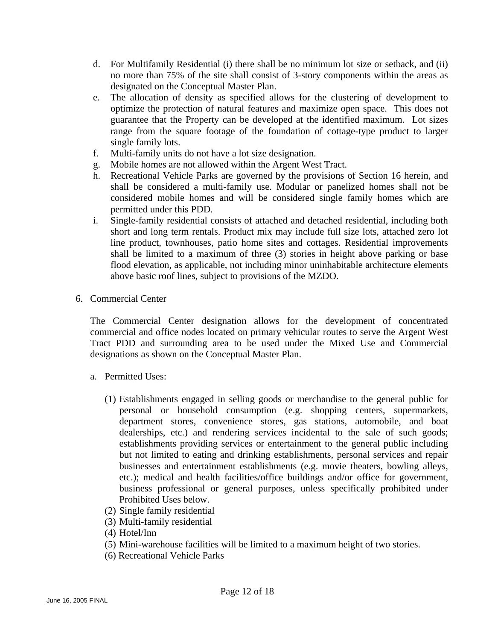- d. For Multifamily Residential (i) there shall be no minimum lot size or setback, and (ii) no more than 75% of the site shall consist of 3-story components within the areas as designated on the Conceptual Master Plan.
- e. The allocation of density as specified allows for the clustering of development to optimize the protection of natural features and maximize open space. This does not guarantee that the Property can be developed at the identified maximum. Lot sizes range from the square footage of the foundation of cottage-type product to larger single family lots.
- f. Multi-family units do not have a lot size designation.
- g. Mobile homes are not allowed within the Argent West Tract.
- h. Recreational Vehicle Parks are governed by the provisions of Section 16 herein, and shall be considered a multi-family use. Modular or panelized homes shall not be considered mobile homes and will be considered single family homes which are permitted under this PDD.
- i. Single-family residential consists of attached and detached residential, including both short and long term rentals. Product mix may include full size lots, attached zero lot line product, townhouses, patio home sites and cottages. Residential improvements shall be limited to a maximum of three (3) stories in height above parking or base flood elevation, as applicable, not including minor uninhabitable architecture elements above basic roof lines, subject to provisions of the MZDO.
- 6. Commercial Center

The Commercial Center designation allows for the development of concentrated commercial and office nodes located on primary vehicular routes to serve the Argent West Tract PDD and surrounding area to be used under the Mixed Use and Commercial designations as shown on the Conceptual Master Plan.

- a. Permitted Uses:
	- (1) Establishments engaged in selling goods or merchandise to the general public for personal or household consumption (e.g. shopping centers, supermarkets, department stores, convenience stores, gas stations, automobile, and boat dealerships, etc.) and rendering services incidental to the sale of such goods; establishments providing services or entertainment to the general public including but not limited to eating and drinking establishments, personal services and repair businesses and entertainment establishments (e.g. movie theaters, bowling alleys, etc.); medical and health facilities/office buildings and/or office for government, business professional or general purposes, unless specifically prohibited under Prohibited Uses below.
	- (2) Single family residential
	- (3) Multi-family residential
	- (4) Hotel/Inn
	- (5) Mini-warehouse facilities will be limited to a maximum height of two stories.
	- (6) Recreational Vehicle Parks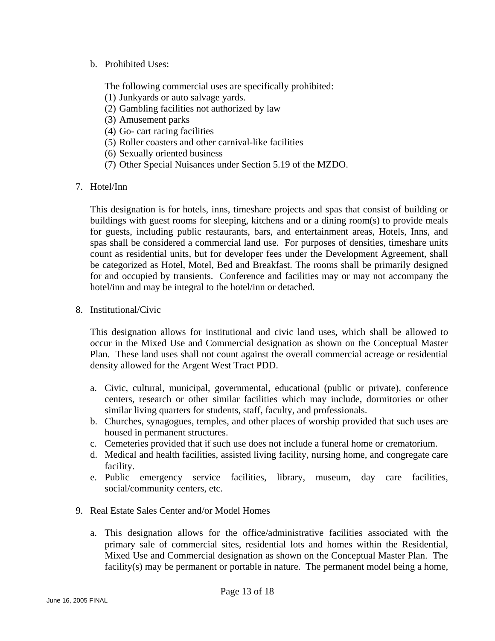b. Prohibited Uses:

The following commercial uses are specifically prohibited:

- (1) Junkyards or auto salvage yards.
- (2) Gambling facilities not authorized by law
- (3) Amusement parks
- (4) Go- cart racing facilities
- (5) Roller coasters and other carnival-like facilities
- (6) Sexually oriented business
- (7) Other Special Nuisances under Section 5.19 of the MZDO.
- 7. Hotel/Inn

This designation is for hotels, inns, timeshare projects and spas that consist of building or buildings with guest rooms for sleeping, kitchens and or a dining room(s) to provide meals for guests, including public restaurants, bars, and entertainment areas, Hotels, Inns, and spas shall be considered a commercial land use. For purposes of densities, timeshare units count as residential units, but for developer fees under the Development Agreement, shall be categorized as Hotel, Motel, Bed and Breakfast. The rooms shall be primarily designed for and occupied by transients. Conference and facilities may or may not accompany the hotel/inn and may be integral to the hotel/inn or detached.

8. Institutional/Civic

This designation allows for institutional and civic land uses, which shall be allowed to occur in the Mixed Use and Commercial designation as shown on the Conceptual Master Plan. These land uses shall not count against the overall commercial acreage or residential density allowed for the Argent West Tract PDD.

- a. Civic, cultural, municipal, governmental, educational (public or private), conference centers, research or other similar facilities which may include, dormitories or other similar living quarters for students, staff, faculty, and professionals.
- b. Churches, synagogues, temples, and other places of worship provided that such uses are housed in permanent structures.
- c. Cemeteries provided that if such use does not include a funeral home or crematorium.
- d. Medical and health facilities, assisted living facility, nursing home, and congregate care facility.
- e. Public emergency service facilities, library, museum, day care facilities, social/community centers, etc.
- 9. Real Estate Sales Center and/or Model Homes
	- a. This designation allows for the office/administrative facilities associated with the primary sale of commercial sites, residential lots and homes within the Residential, Mixed Use and Commercial designation as shown on the Conceptual Master Plan. The facility(s) may be permanent or portable in nature. The permanent model being a home,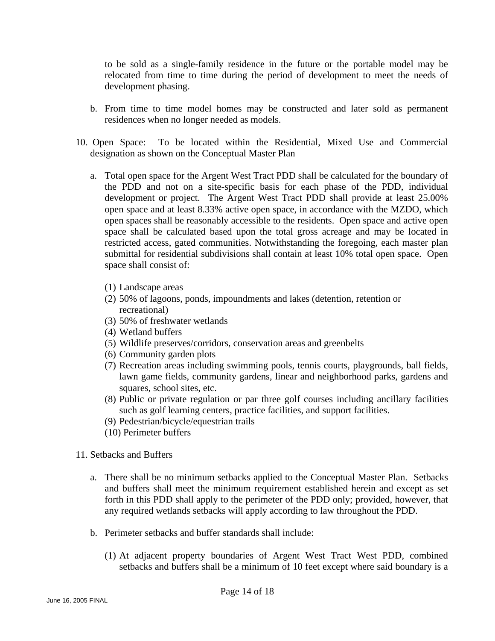to be sold as a single-family residence in the future or the portable model may be relocated from time to time during the period of development to meet the needs of development phasing.

- b. From time to time model homes may be constructed and later sold as permanent residences when no longer needed as models.
- 10. Open Space: To be located within the Residential, Mixed Use and Commercial designation as shown on the Conceptual Master Plan
	- a. Total open space for the Argent West Tract PDD shall be calculated for the boundary of the PDD and not on a site-specific basis for each phase of the PDD, individual development or project. The Argent West Tract PDD shall provide at least 25.00% open space and at least 8.33% active open space, in accordance with the MZDO, which open spaces shall be reasonably accessible to the residents. Open space and active open space shall be calculated based upon the total gross acreage and may be located in restricted access, gated communities. Notwithstanding the foregoing, each master plan submittal for residential subdivisions shall contain at least 10% total open space. Open space shall consist of:
		- (1) Landscape areas
		- (2) 50% of lagoons, ponds, impoundments and lakes (detention, retention or recreational)
		- (3) 50% of freshwater wetlands
		- (4) Wetland buffers
		- (5) Wildlife preserves/corridors, conservation areas and greenbelts
		- (6) Community garden plots
		- (7) Recreation areas including swimming pools, tennis courts, playgrounds, ball fields, lawn game fields, community gardens, linear and neighborhood parks, gardens and squares, school sites, etc.
		- (8) Public or private regulation or par three golf courses including ancillary facilities such as golf learning centers, practice facilities, and support facilities.
		- (9) Pedestrian/bicycle/equestrian trails
		- (10) Perimeter buffers
- 11. Setbacks and Buffers
	- a. There shall be no minimum setbacks applied to the Conceptual Master Plan. Setbacks and buffers shall meet the minimum requirement established herein and except as set forth in this PDD shall apply to the perimeter of the PDD only; provided, however, that any required wetlands setbacks will apply according to law throughout the PDD.
	- b. Perimeter setbacks and buffer standards shall include:
		- (1) At adjacent property boundaries of Argent West Tract West PDD, combined setbacks and buffers shall be a minimum of 10 feet except where said boundary is a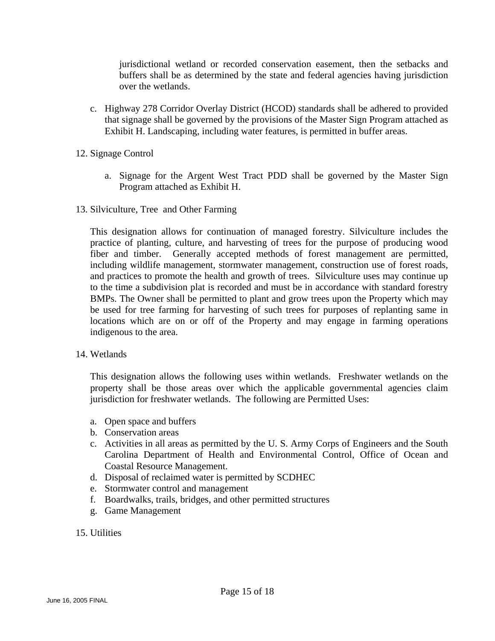jurisdictional wetland or recorded conservation easement, then the setbacks and buffers shall be as determined by the state and federal agencies having jurisdiction over the wetlands.

- c. Highway 278 Corridor Overlay District (HCOD) standards shall be adhered to provided that signage shall be governed by the provisions of the Master Sign Program attached as Exhibit H. Landscaping, including water features, is permitted in buffer areas.
- 12. Signage Control
	- a. Signage for the Argent West Tract PDD shall be governed by the Master Sign Program attached as Exhibit H.
- 13. Silviculture, Tree and Other Farming

This designation allows for continuation of managed forestry. Silviculture includes the practice of planting, culture, and harvesting of trees for the purpose of producing wood fiber and timber. Generally accepted methods of forest management are permitted, including wildlife management, stormwater management, construction use of forest roads, and practices to promote the health and growth of trees. Silviculture uses may continue up to the time a subdivision plat is recorded and must be in accordance with standard forestry BMPs. The Owner shall be permitted to plant and grow trees upon the Property which may be used for tree farming for harvesting of such trees for purposes of replanting same in locations which are on or off of the Property and may engage in farming operations indigenous to the area.

### 14. Wetlands

This designation allows the following uses within wetlands. Freshwater wetlands on the property shall be those areas over which the applicable governmental agencies claim jurisdiction for freshwater wetlands. The following are Permitted Uses:

- a. Open space and buffers
- b. Conservation areas
- c. Activities in all areas as permitted by the U. S. Army Corps of Engineers and the South Carolina Department of Health and Environmental Control, Office of Ocean and Coastal Resource Management.
- d. Disposal of reclaimed water is permitted by SCDHEC
- e. Stormwater control and management
- f. Boardwalks, trails, bridges, and other permitted structures
- g. Game Management
- 15. Utilities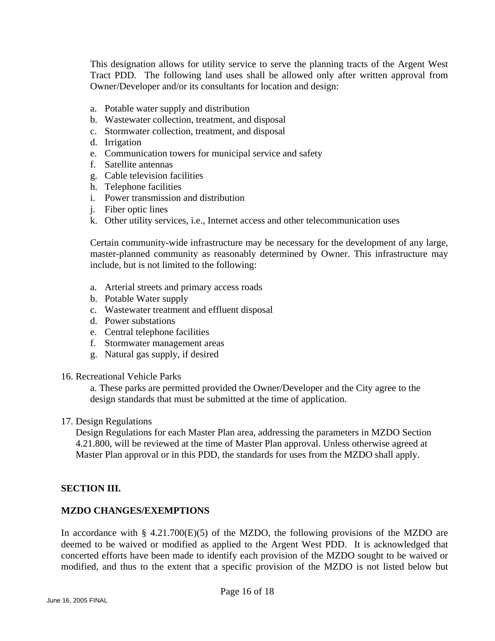This designation allows for utility service to serve the planning tracts of the Argent West Tract PDD. The following land uses shall be allowed only after written approval from Owner/Developer and/or its consultants for location and design:

- a. Potable water supply and distribution
- b. Wastewater collection, treatment, and disposal
- c. Stormwater collection, treatment, and disposal
- d. Irrigation
- e. Communication towers for municipal service and safety
- f. Satellite antennas
- g. Cable television facilities
- h. Telephone facilities
- i. Power transmission and distribution
- j. Fiber optic lines
- k. Other utility services, i.e., Internet access and other telecommunication uses

Certain community-wide infrastructure may be necessary for the development of any large, master-planned community as reasonably determined by Owner. This infrastructure may include, but is not limited to the following:

- a. Arterial streets and primary access roads
- b. Potable Water supply
- c. Wastewater treatment and effluent disposal
- d. Power substations
- e. Central telephone facilities
- f. Stormwater management areas
- g. Natural gas supply, if desired
- 16. Recreational Vehicle Parks

a. These parks are permitted provided the Owner/Developer and the City agree to the design standards that must be submitted at the time of application.

17. Design Regulations

Design Regulations for each Master Plan area, addressing the parameters in MZDO Section 4.21.800, will be reviewed at the time of Master Plan approval. Unless otherwise agreed at Master Plan approval or in this PDD, the standards for uses from the MZDO shall apply.

### **SECTION III.**

### **MZDO CHANGES/EXEMPTIONS**

In accordance with § 4.21.700 $(E)(5)$  of the MZDO, the following provisions of the MZDO are deemed to be waived or modified as applied to the Argent West PDD. It is acknowledged that concerted efforts have been made to identify each provision of the MZDO sought to be waived or modified, and thus to the extent that a specific provision of the MZDO is not listed below but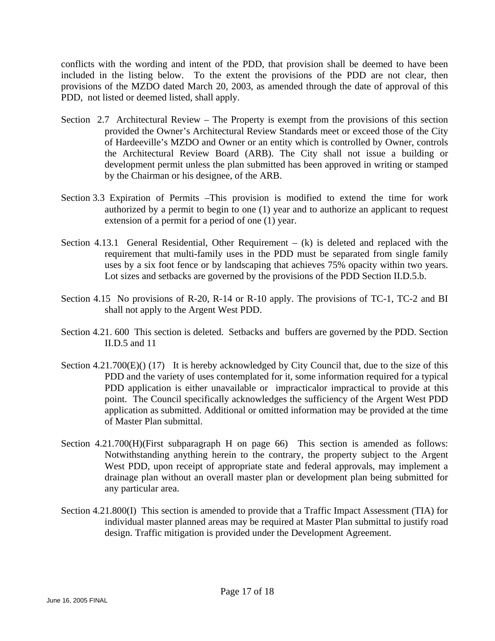conflicts with the wording and intent of the PDD, that provision shall be deemed to have been included in the listing below. To the extent the provisions of the PDD are not clear, then provisions of the MZDO dated March 20, 2003, as amended through the date of approval of this PDD, not listed or deemed listed, shall apply.

- Section 2.7 Architectural Review The Property is exempt from the provisions of this section provided the Owner's Architectural Review Standards meet or exceed those of the City of Hardeeville's MZDO and Owner or an entity which is controlled by Owner, controls the Architectural Review Board (ARB). The City shall not issue a building or development permit unless the plan submitted has been approved in writing or stamped by the Chairman or his designee, of the ARB.
- Section 3.3 Expiration of Permits –This provision is modified to extend the time for work authorized by a permit to begin to one (1) year and to authorize an applicant to request extension of a permit for a period of one (1) year.
- Section 4.13.1 General Residential, Other Requirement  $-$  (k) is deleted and replaced with the requirement that multi-family uses in the PDD must be separated from single family uses by a six foot fence or by landscaping that achieves 75% opacity within two years. Lot sizes and setbacks are governed by the provisions of the PDD Section II.D.5.b.
- Section 4.15 No provisions of R-20, R-14 or R-10 apply. The provisions of TC-1, TC-2 and BI shall not apply to the Argent West PDD.
- Section 4.21. 600 This section is deleted. Setbacks and buffers are governed by the PDD. Section II.D.5 and 11
- Section 4.21.700(E)() (17) It is hereby acknowledged by City Council that, due to the size of this PDD and the variety of uses contemplated for it, some information required for a typical PDD application is either unavailable or impracticalor impractical to provide at this point. The Council specifically acknowledges the sufficiency of the Argent West PDD application as submitted. Additional or omitted information may be provided at the time of Master Plan submittal.
- Section 4.21.700(H)(First subparagraph H on page 66) This section is amended as follows: Notwithstanding anything herein to the contrary, the property subject to the Argent West PDD, upon receipt of appropriate state and federal approvals, may implement a drainage plan without an overall master plan or development plan being submitted for any particular area.
- Section 4.21.800(I) This section is amended to provide that a Traffic Impact Assessment (TIA) for individual master planned areas may be required at Master Plan submittal to justify road design. Traffic mitigation is provided under the Development Agreement.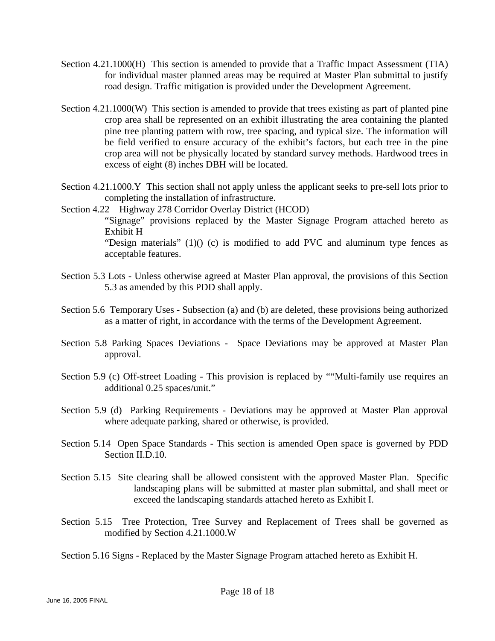- Section 4.21.1000(H) This section is amended to provide that a Traffic Impact Assessment (TIA) for individual master planned areas may be required at Master Plan submittal to justify road design. Traffic mitigation is provided under the Development Agreement.
- Section 4.21.1000(W) This section is amended to provide that trees existing as part of planted pine crop area shall be represented on an exhibit illustrating the area containing the planted pine tree planting pattern with row, tree spacing, and typical size. The information will be field verified to ensure accuracy of the exhibit's factors, but each tree in the pine crop area will not be physically located by standard survey methods. Hardwood trees in excess of eight (8) inches DBH will be located.
- Section 4.21.1000.Y This section shall not apply unless the applicant seeks to pre-sell lots prior to completing the installation of infrastructure.
- Section 4.22 Highway 278 Corridor Overlay District (HCOD) "Signage" provisions replaced by the Master Signage Program attached hereto as Exhibit H "Design materials" (1)() (c) is modified to add PVC and aluminum type fences as acceptable features.
- Section 5.3 Lots Unless otherwise agreed at Master Plan approval, the provisions of this Section 5.3 as amended by this PDD shall apply.
- Section 5.6 Temporary Uses Subsection (a) and (b) are deleted, these provisions being authorized as a matter of right, in accordance with the terms of the Development Agreement.
- Section 5.8 Parking Spaces Deviations Space Deviations may be approved at Master Plan approval.
- Section 5.9 (c) Off-street Loading This provision is replaced by ""Multi-family use requires an additional 0.25 spaces/unit."
- Section 5.9 (d) Parking Requirements Deviations may be approved at Master Plan approval where adequate parking, shared or otherwise, is provided.
- Section 5.14 Open Space Standards This section is amended Open space is governed by PDD Section II.D.10.
- Section 5.15 Site clearing shall be allowed consistent with the approved Master Plan. Specific landscaping plans will be submitted at master plan submittal, and shall meet or exceed the landscaping standards attached hereto as Exhibit I.
- Section 5.15 Tree Protection, Tree Survey and Replacement of Trees shall be governed as modified by Section 4.21.1000.W

Section 5.16 Signs - Replaced by the Master Signage Program attached hereto as Exhibit H.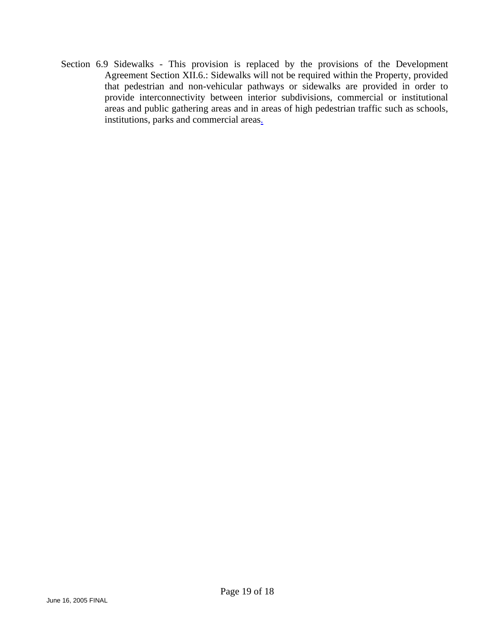Section 6.9 Sidewalks - This provision is replaced by the provisions of the Development Agreement Section XII.6.: Sidewalks will not be required within the Property, provided that pedestrian and non-vehicular pathways or sidewalks are provided in order to provide interconnectivity between interior subdivisions, commercial or institutional areas and public gathering areas and in areas of high pedestrian traffic such as schools, institutions, parks and commercial areas.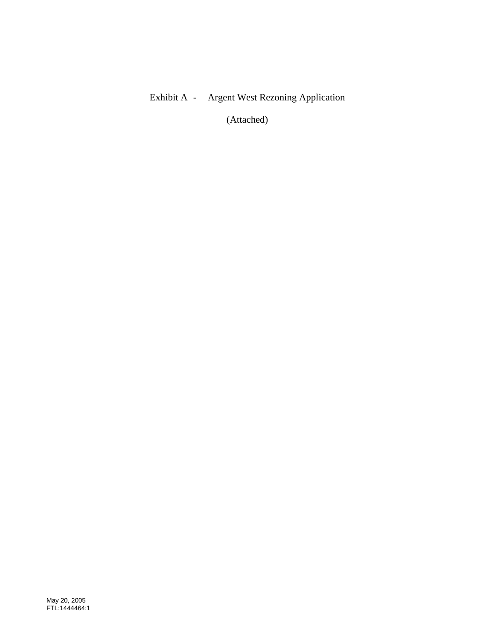### Exhibit A - Argent West Rezoning Application

(Attached)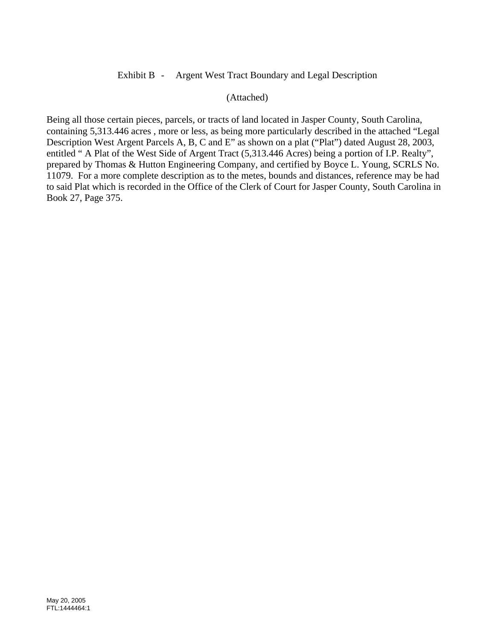### Exhibit B - Argent West Tract Boundary and Legal Description

### (Attached)

Being all those certain pieces, parcels, or tracts of land located in Jasper County, South Carolina, containing 5,313.446 acres , more or less, as being more particularly described in the attached "Legal Description West Argent Parcels A, B, C and E" as shown on a plat ("Plat") dated August 28, 2003, entitled " A Plat of the West Side of Argent Tract (5,313.446 Acres) being a portion of I.P. Realty", prepared by Thomas & Hutton Engineering Company, and certified by Boyce L. Young, SCRLS No. 11079. For a more complete description as to the metes, bounds and distances, reference may be had to said Plat which is recorded in the Office of the Clerk of Court for Jasper County, South Carolina in Book 27, Page 375.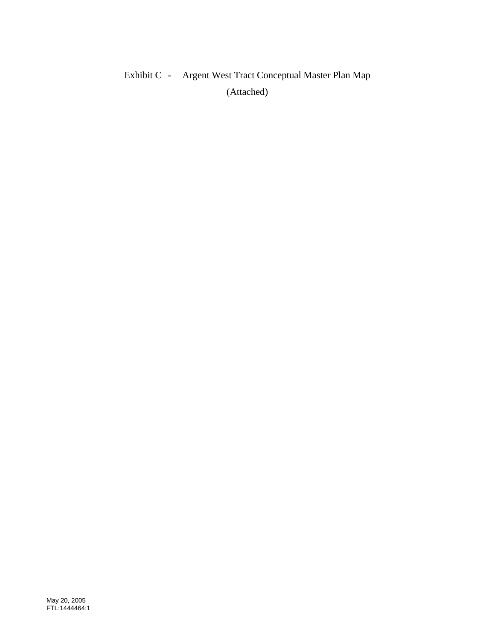# Exhibit C - Argent West Tract Conceptual Master Plan Map (Attached)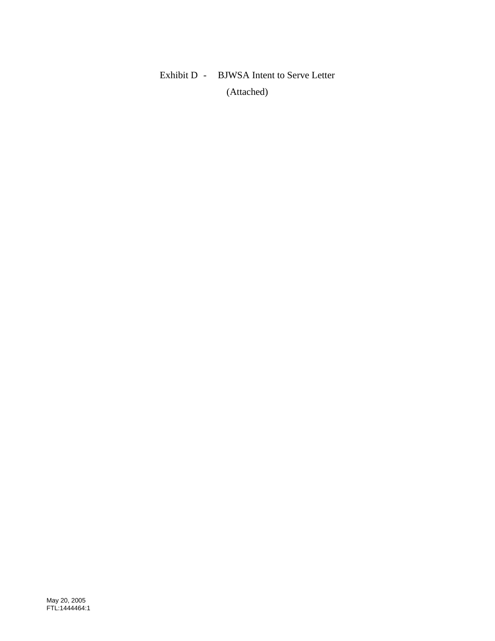## Exhibit D - BJWSA Intent to Serve Letter (Attached)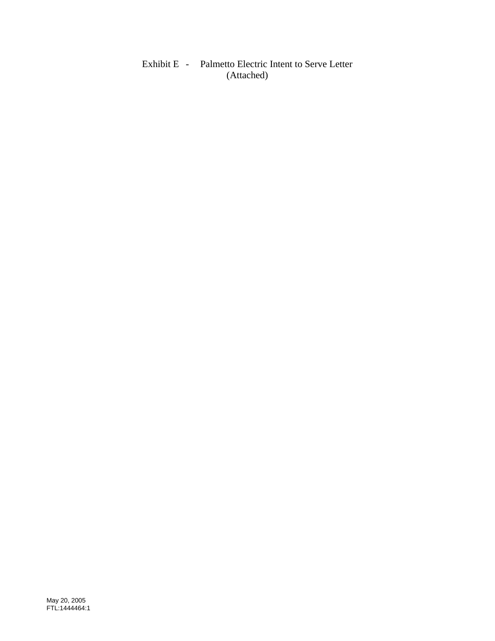Exhibit E - Palmetto Electric Intent to Serve Letter (Attached)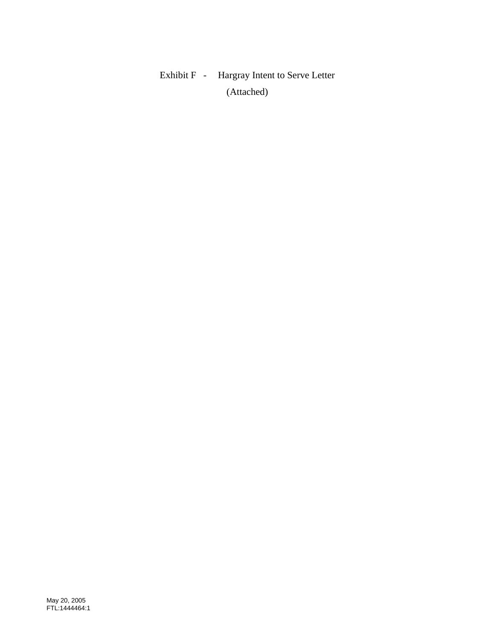# Exhibit F - Hargray Intent to Serve Letter (Attached)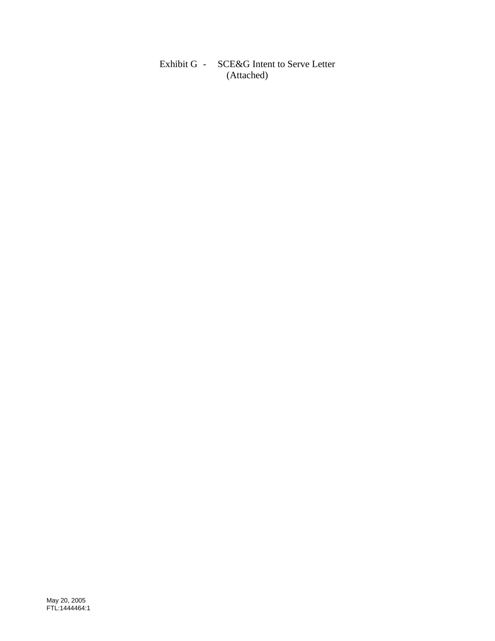Exhibit G - SCE&G Intent to Serve Letter (Attached)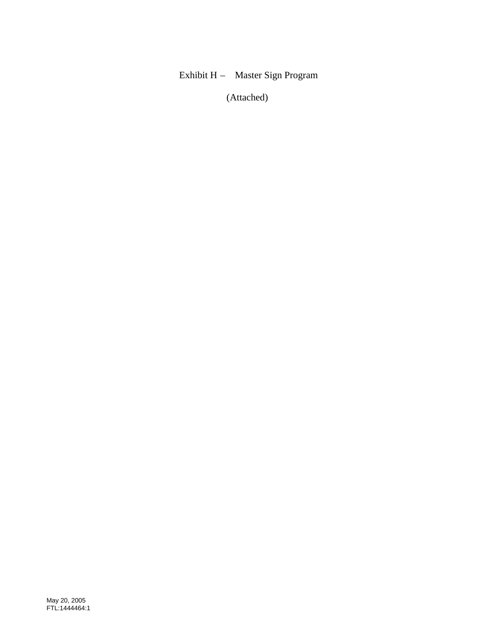### Exhibit H – Master Sign Program

(Attached)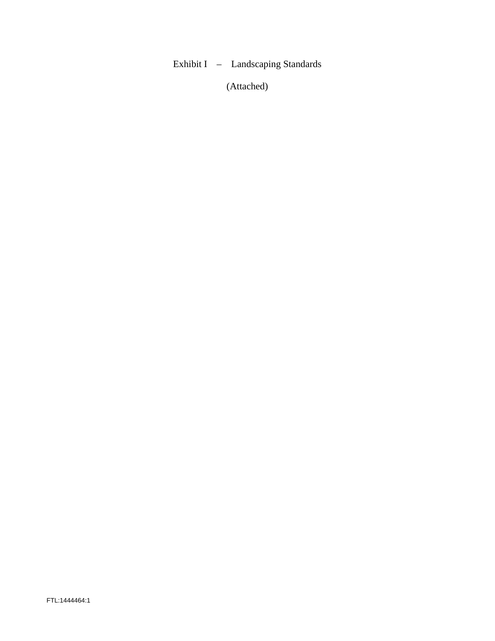### Exhibit I – Landscaping Standards

(Attached)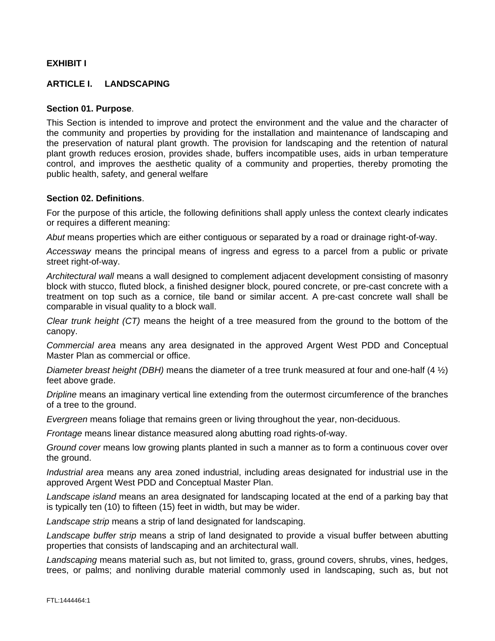### **EXHIBIT I**

### **ARTICLE I. LANDSCAPING**

#### **Section 01. Purpose**.

This Section is intended to improve and protect the environment and the value and the character of the community and properties by providing for the installation and maintenance of landscaping and the preservation of natural plant growth. The provision for landscaping and the retention of natural plant growth reduces erosion, provides shade, buffers incompatible uses, aids in urban temperature control, and improves the aesthetic quality of a community and properties, thereby promoting the public health, safety, and general welfare

#### **Section 02. Definitions**.

For the purpose of this article, the following definitions shall apply unless the context clearly indicates or requires a different meaning:

*Abut* means properties which are either contiguous or separated by a road or drainage right-of-way.

*Accessway* means the principal means of ingress and egress to a parcel from a public or private street right-of-way.

*Architectural wall* means a wall designed to complement adjacent development consisting of masonry block with stucco, fluted block, a finished designer block, poured concrete, or pre-cast concrete with a treatment on top such as a cornice, tile band or similar accent. A pre-cast concrete wall shall be comparable in visual quality to a block wall.

*Clear trunk height (CT)* means the height of a tree measured from the ground to the bottom of the canopy.

*Commercial area* means any area designated in the approved Argent West PDD and Conceptual Master Plan as commercial or office.

*Diameter breast height (DBH)* means the diameter of a tree trunk measured at four and one-half (4 ½) feet above grade.

*Dripline* means an imaginary vertical line extending from the outermost circumference of the branches of a tree to the ground.

*Evergreen* means foliage that remains green or living throughout the year, non-deciduous.

*Frontage* means linear distance measured along abutting road rights-of-way.

*Ground cover* means low growing plants planted in such a manner as to form a continuous cover over the ground.

*Industrial area* means any area zoned industrial, including areas designated for industrial use in the approved Argent West PDD and Conceptual Master Plan.

*Landscape island* means an area designated for landscaping located at the end of a parking bay that is typically ten (10) to fifteen (15) feet in width, but may be wider.

*Landscape strip* means a strip of land designated for landscaping.

*Landscape buffer strip* means a strip of land designated to provide a visual buffer between abutting properties that consists of landscaping and an architectural wall.

*Landscaping* means material such as, but not limited to, grass, ground covers, shrubs, vines, hedges, trees, or palms; and nonliving durable material commonly used in landscaping, such as, but not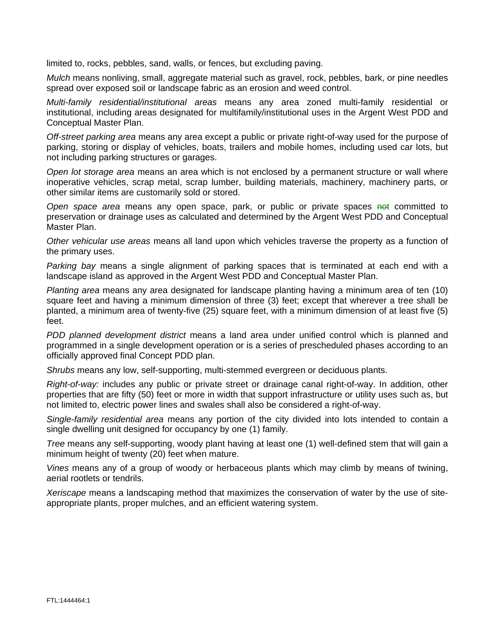limited to, rocks, pebbles, sand, walls, or fences, but excluding paving.

*Mulch* means nonliving, small, aggregate material such as gravel, rock, pebbles, bark, or pine needles spread over exposed soil or landscape fabric as an erosion and weed control.

*Multi-family residential/institutional areas* means any area zoned multi-family residential or institutional, including areas designated for multifamily/institutional uses in the Argent West PDD and Conceptual Master Plan.

*Off-street parking area* means any area except a public or private right-of-way used for the purpose of parking, storing or display of vehicles, boats, trailers and mobile homes, including used car lots, but not including parking structures or garages.

*Open lot storage area* means an area which is not enclosed by a permanent structure or wall where inoperative vehicles, scrap metal, scrap lumber, building materials, machinery, machinery parts, or other similar items are customarily sold or stored.

*Open space area* means any open space, park, or public or private spaces not committed to preservation or drainage uses as calculated and determined by the Argent West PDD and Conceptual Master Plan.

*Other vehicular use areas* means all land upon which vehicles traverse the property as a function of the primary uses.

*Parking bay* means a single alignment of parking spaces that is terminated at each end with a landscape island as approved in the Argent West PDD and Conceptual Master Plan.

*Planting area* means any area designated for landscape planting having a minimum area of ten (10) square feet and having a minimum dimension of three (3) feet; except that wherever a tree shall be planted, a minimum area of twenty-five (25) square feet, with a minimum dimension of at least five (5) feet.

*PDD planned development district* means a land area under unified control which is planned and programmed in a single development operation or is a series of prescheduled phases according to an officially approved final Concept PDD plan.

*Shrubs* means any low, self-supporting, multi-stemmed evergreen or deciduous plants.

*Right-of-way:* includes any public or private street or drainage canal right-of-way. In addition, other properties that are fifty (50) feet or more in width that support infrastructure or utility uses such as, but not limited to, electric power lines and swales shall also be considered a right-of-way.

*Single-family residential area* means any portion of the city divided into lots intended to contain a single dwelling unit designed for occupancy by one (1) family.

*Tree* means any self-supporting, woody plant having at least one (1) well-defined stem that will gain a minimum height of twenty (20) feet when mature.

*Vines* means any of a group of woody or herbaceous plants which may climb by means of twining, aerial rootlets or tendrils.

*Xeriscape* means a landscaping method that maximizes the conservation of water by the use of siteappropriate plants, proper mulches, and an efficient watering system.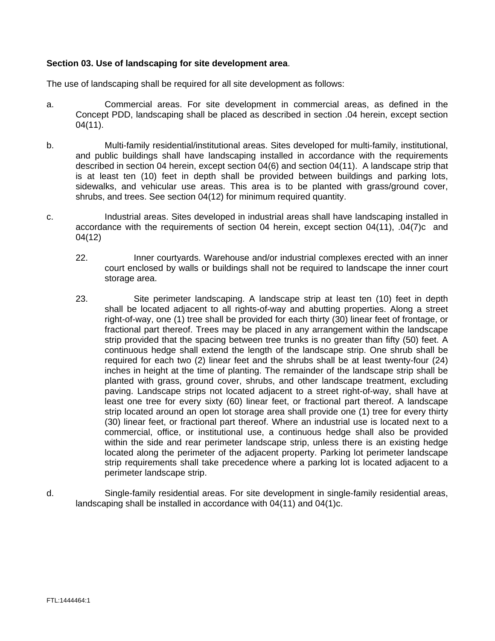### **Section 03. Use of landscaping for site development area**.

The use of landscaping shall be required for all site development as follows:

- a. Commercial areas. For site development in commercial areas, as defined in the Concept PDD, landscaping shall be placed as described in section .04 herein, except section 04(11).
- b. Multi-family residential/institutional areas. Sites developed for multi-family, institutional, and public buildings shall have landscaping installed in accordance with the requirements described in section 04 herein, except section 04(6) and section 04(11). A landscape strip that is at least ten (10) feet in depth shall be provided between buildings and parking lots, sidewalks, and vehicular use areas. This area is to be planted with grass/ground cover, shrubs, and trees. See section 04(12) for minimum required quantity.
- c. Industrial areas. Sites developed in industrial areas shall have landscaping installed in accordance with the requirements of section 04 herein, except section 04(11), .04(7)c and 04(12)
	- 22. Inner courtyards. Warehouse and/or industrial complexes erected with an inner court enclosed by walls or buildings shall not be required to landscape the inner court storage area.
	- 23. Site perimeter landscaping. A landscape strip at least ten (10) feet in depth shall be located adjacent to all rights-of-way and abutting properties. Along a street right-of-way, one (1) tree shall be provided for each thirty (30) linear feet of frontage, or fractional part thereof. Trees may be placed in any arrangement within the landscape strip provided that the spacing between tree trunks is no greater than fifty (50) feet. A continuous hedge shall extend the length of the landscape strip. One shrub shall be required for each two (2) linear feet and the shrubs shall be at least twenty-four (24) inches in height at the time of planting. The remainder of the landscape strip shall be planted with grass, ground cover, shrubs, and other landscape treatment, excluding paving. Landscape strips not located adjacent to a street right-of-way, shall have at least one tree for every sixty (60) linear feet, or fractional part thereof. A landscape strip located around an open lot storage area shall provide one (1) tree for every thirty (30) linear feet, or fractional part thereof. Where an industrial use is located next to a commercial, office, or institutional use, a continuous hedge shall also be provided within the side and rear perimeter landscape strip, unless there is an existing hedge located along the perimeter of the adjacent property. Parking lot perimeter landscape strip requirements shall take precedence where a parking lot is located adjacent to a perimeter landscape strip.
- d. Single-family residential areas. For site development in single-family residential areas, landscaping shall be installed in accordance with 04(11) and 04(1)c.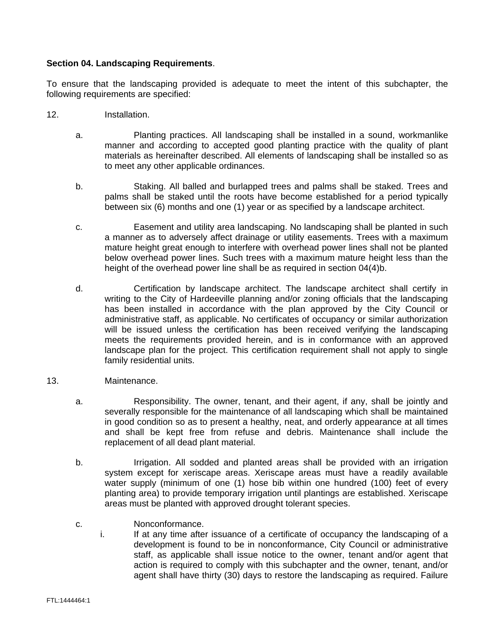### **Section 04. Landscaping Requirements**.

To ensure that the landscaping provided is adequate to meet the intent of this subchapter, the following requirements are specified:

- 12. Installation.
	- a. Planting practices. All landscaping shall be installed in a sound, workmanlike manner and according to accepted good planting practice with the quality of plant materials as hereinafter described. All elements of landscaping shall be installed so as to meet any other applicable ordinances.
	- b. Staking. All balled and burlapped trees and palms shall be staked. Trees and palms shall be staked until the roots have become established for a period typically between six (6) months and one (1) year or as specified by a landscape architect.
	- c. Easement and utility area landscaping. No landscaping shall be planted in such a manner as to adversely affect drainage or utility easements. Trees with a maximum mature height great enough to interfere with overhead power lines shall not be planted below overhead power lines. Such trees with a maximum mature height less than the height of the overhead power line shall be as required in section 04(4)b.
	- d. Certification by landscape architect. The landscape architect shall certify in writing to the City of Hardeeville planning and/or zoning officials that the landscaping has been installed in accordance with the plan approved by the City Council or administrative staff, as applicable. No certificates of occupancy or similar authorization will be issued unless the certification has been received verifying the landscaping meets the requirements provided herein, and is in conformance with an approved landscape plan for the project. This certification requirement shall not apply to single family residential units.
- 13. Maintenance.
	- a. Responsibility. The owner, tenant, and their agent, if any, shall be jointly and severally responsible for the maintenance of all landscaping which shall be maintained in good condition so as to present a healthy, neat, and orderly appearance at all times and shall be kept free from refuse and debris. Maintenance shall include the replacement of all dead plant material.
	- b. Irrigation. All sodded and planted areas shall be provided with an irrigation system except for xeriscape areas. Xeriscape areas must have a readily available water supply (minimum of one (1) hose bib within one hundred (100) feet of every planting area) to provide temporary irrigation until plantings are established. Xeriscape areas must be planted with approved drought tolerant species.
	- c. Monconformance.<br>i. If at any time after
		- If at any time after issuance of a certificate of occupancy the landscaping of a development is found to be in nonconformance, City Council or administrative staff, as applicable shall issue notice to the owner, tenant and/or agent that action is required to comply with this subchapter and the owner, tenant, and/or agent shall have thirty (30) days to restore the landscaping as required. Failure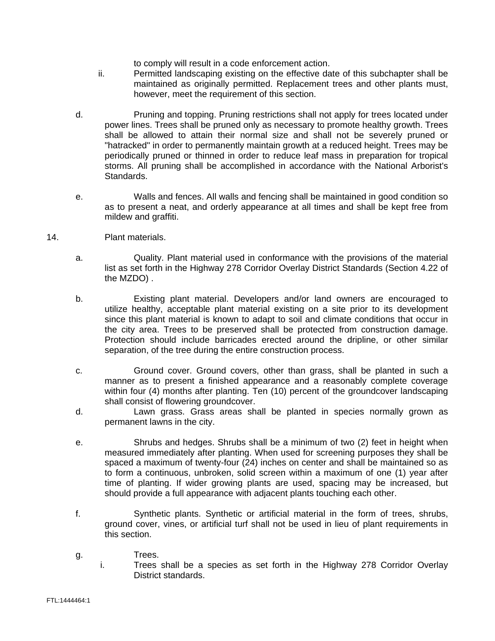to comply will result in a code enforcement action.

- ii. Permitted landscaping existing on the effective date of this subchapter shall be maintained as originally permitted. Replacement trees and other plants must, however, meet the requirement of this section.
- d. Pruning and topping. Pruning restrictions shall not apply for trees located under power lines. Trees shall be pruned only as necessary to promote healthy growth. Trees shall be allowed to attain their normal size and shall not be severely pruned or "hatracked" in order to permanently maintain growth at a reduced height. Trees may be periodically pruned or thinned in order to reduce leaf mass in preparation for tropical storms. All pruning shall be accomplished in accordance with the National Arborist's Standards.
- e. Walls and fences. All walls and fencing shall be maintained in good condition so as to present a neat, and orderly appearance at all times and shall be kept free from mildew and graffiti.
- 14. Plant materials.
	- a. Quality. Plant material used in conformance with the provisions of the material list as set forth in the Highway 278 Corridor Overlay District Standards (Section 4.22 of the MZDO) .
	- b. Existing plant material. Developers and/or land owners are encouraged to utilize healthy, acceptable plant material existing on a site prior to its development since this plant material is known to adapt to soil and climate conditions that occur in the city area. Trees to be preserved shall be protected from construction damage. Protection should include barricades erected around the dripline, or other similar separation, of the tree during the entire construction process.
	- c. Ground cover. Ground covers, other than grass, shall be planted in such a manner as to present a finished appearance and a reasonably complete coverage within four (4) months after planting. Ten (10) percent of the groundcover landscaping shall consist of flowering groundcover.
	- d. Lawn grass. Grass areas shall be planted in species normally grown as permanent lawns in the city.
	- e. Shrubs and hedges. Shrubs shall be a minimum of two (2) feet in height when measured immediately after planting. When used for screening purposes they shall be spaced a maximum of twenty-four (24) inches on center and shall be maintained so as to form a continuous, unbroken, solid screen within a maximum of one (1) year after time of planting. If wider growing plants are used, spacing may be increased, but should provide a full appearance with adjacent plants touching each other.
	- f. Synthetic plants. Synthetic or artificial material in the form of trees, shrubs, ground cover, vines, or artificial turf shall not be used in lieu of plant requirements in this section.
	- g. Trees.
		- i. Trees shall be a species as set forth in the Highway 278 Corridor Overlay District standards.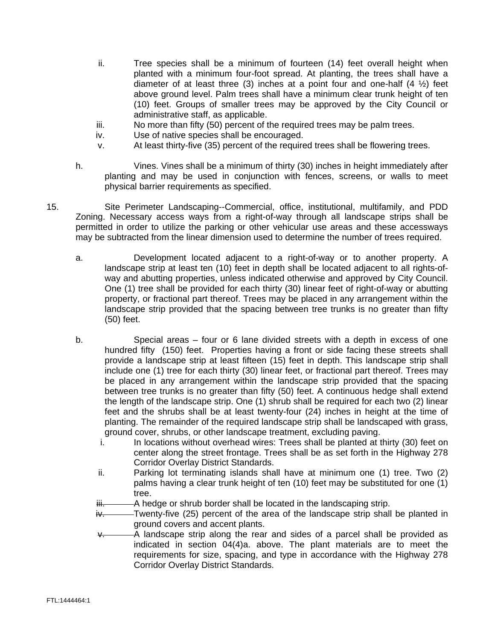- ii. Tree species shall be a minimum of fourteen (14) feet overall height when planted with a minimum four-foot spread. At planting, the trees shall have a diameter of at least three (3) inches at a point four and one-half  $(4 \frac{1}{2})$  feet above ground level. Palm trees shall have a minimum clear trunk height of ten (10) feet. Groups of smaller trees may be approved by the City Council or administrative staff, as applicable.
- iii. No more than fifty (50) percent of the required trees may be palm trees.
- iv. Use of native species shall be encouraged.
- v. At least thirty-five (35) percent of the required trees shall be flowering trees.
- h. Vines. Vines shall be a minimum of thirty (30) inches in height immediately after planting and may be used in conjunction with fences, screens, or walls to meet physical barrier requirements as specified.
- 15. Site Perimeter Landscaping--Commercial, office, institutional, multifamily, and PDD Zoning. Necessary access ways from a right-of-way through all landscape strips shall be permitted in order to utilize the parking or other vehicular use areas and these accessways may be subtracted from the linear dimension used to determine the number of trees required.
	- a. Development located adjacent to a right-of-way or to another property. A landscape strip at least ten (10) feet in depth shall be located adjacent to all rights-ofway and abutting properties, unless indicated otherwise and approved by City Council. One (1) tree shall be provided for each thirty (30) linear feet of right-of-way or abutting property, or fractional part thereof. Trees may be placed in any arrangement within the landscape strip provided that the spacing between tree trunks is no greater than fifty (50) feet.
	- b. Special areas four or 6 lane divided streets with a depth in excess of one hundred fifty (150) feet. Properties having a front or side facing these streets shall provide a landscape strip at least fifteen (15) feet in depth. This landscape strip shall include one (1) tree for each thirty (30) linear feet, or fractional part thereof. Trees may be placed in any arrangement within the landscape strip provided that the spacing between tree trunks is no greater than fifty (50) feet. A continuous hedge shall extend the length of the landscape strip. One (1) shrub shall be required for each two (2) linear feet and the shrubs shall be at least twenty-four (24) inches in height at the time of planting. The remainder of the required landscape strip shall be landscaped with grass, ground cover, shrubs, or other landscape treatment, excluding paving.
		- i. In locations without overhead wires: Trees shall be planted at thirty (30) feet on center along the street frontage. Trees shall be as set forth in the Highway 278 Corridor Overlay District Standards.
		- ii. Parking lot terminating islands shall have at minimum one (1) tree. Two (2) palms having a clear trunk height of ten (10) feet may be substituted for one (1) tree.
		- iii. A hedge or shrub border shall be located in the landscaping strip.
		- $iv.$  Twenty-five (25) percent of the area of the landscape strip shall be planted in ground covers and accent plants.
		- -A landscape strip along the rear and sides of a parcel shall be provided as indicated in section 04(4)a. above. The plant materials are to meet the requirements for size, spacing, and type in accordance with the Highway 278 Corridor Overlay District Standards.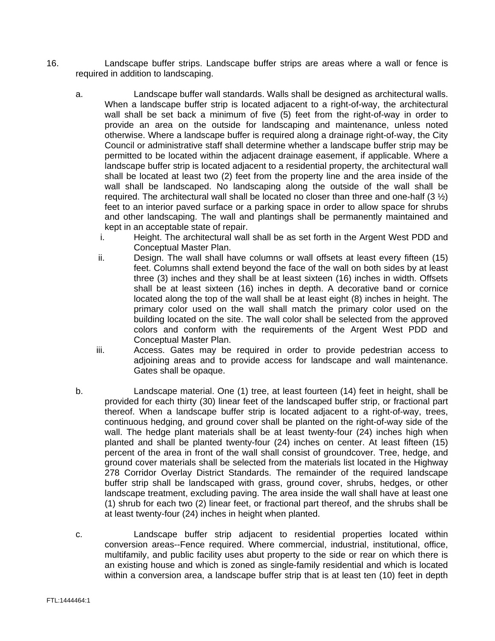- 16. Landscape buffer strips. Landscape buffer strips are areas where a wall or fence is required in addition to landscaping.
	- a. Landscape buffer wall standards. Walls shall be designed as architectural walls. When a landscape buffer strip is located adjacent to a right-of-way, the architectural wall shall be set back a minimum of five (5) feet from the right-of-way in order to provide an area on the outside for landscaping and maintenance, unless noted otherwise. Where a landscape buffer is required along a drainage right-of-way, the City Council or administrative staff shall determine whether a landscape buffer strip may be permitted to be located within the adjacent drainage easement, if applicable. Where a landscape buffer strip is located adjacent to a residential property, the architectural wall shall be located at least two (2) feet from the property line and the area inside of the wall shall be landscaped. No landscaping along the outside of the wall shall be required. The architectural wall shall be located no closer than three and one-half  $(3 \frac{1}{2})$ feet to an interior paved surface or a parking space in order to allow space for shrubs and other landscaping. The wall and plantings shall be permanently maintained and kept in an acceptable state of repair.
		- i. Height. The architectural wall shall be as set forth in the Argent West PDD and Conceptual Master Plan.
		- ii. Design. The wall shall have columns or wall offsets at least every fifteen (15) feet. Columns shall extend beyond the face of the wall on both sides by at least three (3) inches and they shall be at least sixteen (16) inches in width. Offsets shall be at least sixteen (16) inches in depth. A decorative band or cornice located along the top of the wall shall be at least eight (8) inches in height. The primary color used on the wall shall match the primary color used on the building located on the site. The wall color shall be selected from the approved colors and conform with the requirements of the Argent West PDD and Conceptual Master Plan.
		- iii. Access. Gates may be required in order to provide pedestrian access to adjoining areas and to provide access for landscape and wall maintenance. Gates shall be opaque.
	- b. Landscape material. One (1) tree, at least fourteen (14) feet in height, shall be provided for each thirty (30) linear feet of the landscaped buffer strip, or fractional part thereof. When a landscape buffer strip is located adjacent to a right-of-way, trees, continuous hedging, and ground cover shall be planted on the right-of-way side of the wall. The hedge plant materials shall be at least twenty-four (24) inches high when planted and shall be planted twenty-four (24) inches on center. At least fifteen (15) percent of the area in front of the wall shall consist of groundcover. Tree, hedge, and ground cover materials shall be selected from the materials list located in the Highway 278 Corridor Overlay District Standards. The remainder of the required landscape buffer strip shall be landscaped with grass, ground cover, shrubs, hedges, or other landscape treatment, excluding paving. The area inside the wall shall have at least one (1) shrub for each two (2) linear feet, or fractional part thereof, and the shrubs shall be at least twenty-four (24) inches in height when planted.
	- c. Landscape buffer strip adjacent to residential properties located within conversion areas--Fence required. Where commercial, industrial, institutional, office, multifamily, and public facility uses abut property to the side or rear on which there is an existing house and which is zoned as single-family residential and which is located within a conversion area, a landscape buffer strip that is at least ten (10) feet in depth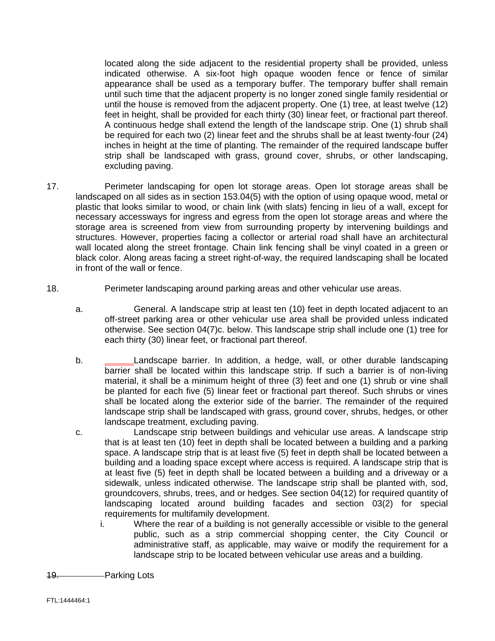located along the side adjacent to the residential property shall be provided, unless indicated otherwise. A six-foot high opaque wooden fence or fence of similar appearance shall be used as a temporary buffer. The temporary buffer shall remain until such time that the adjacent property is no longer zoned single family residential or until the house is removed from the adjacent property. One (1) tree, at least twelve (12) feet in height, shall be provided for each thirty (30) linear feet, or fractional part thereof. A continuous hedge shall extend the length of the landscape strip. One (1) shrub shall be required for each two (2) linear feet and the shrubs shall be at least twenty-four (24) inches in height at the time of planting. The remainder of the required landscape buffer strip shall be landscaped with grass, ground cover, shrubs, or other landscaping, excluding paving.

- 17. Perimeter landscaping for open lot storage areas. Open lot storage areas shall be landscaped on all sides as in section 153.04(5) with the option of using opaque wood, metal or plastic that looks similar to wood, or chain link (with slats) fencing in lieu of a wall, except for necessary accessways for ingress and egress from the open lot storage areas and where the storage area is screened from view from surrounding property by intervening buildings and structures. However, properties facing a collector or arterial road shall have an architectural wall located along the street frontage. Chain link fencing shall be vinyl coated in a green or black color. Along areas facing a street right-of-way, the required landscaping shall be located in front of the wall or fence.
- 18. Perimeter landscaping around parking areas and other vehicular use areas.
	- a. General. A landscape strip at least ten (10) feet in depth located adjacent to an off-street parking area or other vehicular use area shall be provided unless indicated otherwise. See section 04(7)c. below. This landscape strip shall include one (1) tree for each thirty (30) linear feet, or fractional part thereof.
	- b. Landscape barrier. In addition, a hedge, wall, or other durable landscaping barrier shall be located within this landscape strip. If such a barrier is of non-living material, it shall be a minimum height of three (3) feet and one (1) shrub or vine shall be planted for each five (5) linear feet or fractional part thereof. Such shrubs or vines shall be located along the exterior side of the barrier. The remainder of the required landscape strip shall be landscaped with grass, ground cover, shrubs, hedges, or other landscape treatment, excluding paving.
	- c. Landscape strip between buildings and vehicular use areas. A landscape strip that is at least ten (10) feet in depth shall be located between a building and a parking space. A landscape strip that is at least five (5) feet in depth shall be located between a building and a loading space except where access is required. A landscape strip that is at least five (5) feet in depth shall be located between a building and a driveway or a sidewalk, unless indicated otherwise. The landscape strip shall be planted with, sod, groundcovers, shrubs, trees, and or hedges. See section 04(12) for required quantity of landscaping located around building facades and section 03(2) for special requirements for multifamily development.
		- i. Where the rear of a building is not generally accessible or visible to the general public, such as a strip commercial shopping center, the City Council or administrative staff, as applicable, may waive or modify the requirement for a landscape strip to be located between vehicular use areas and a building.
- 19. Parking Lots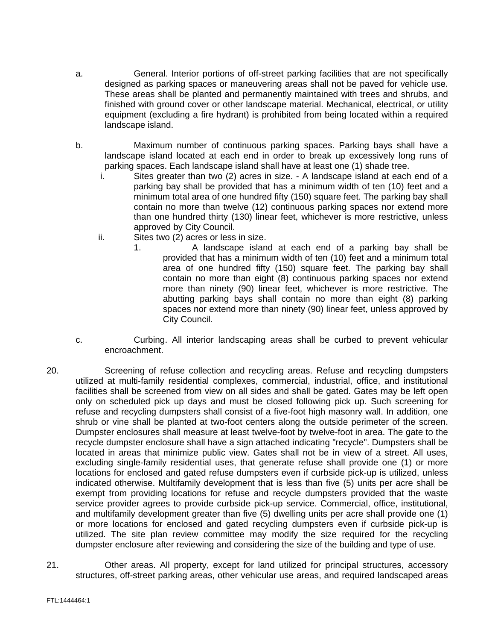- a. General. Interior portions of off-street parking facilities that are not specifically designed as parking spaces or maneuvering areas shall not be paved for vehicle use. These areas shall be planted and permanently maintained with trees and shrubs, and finished with ground cover or other landscape material. Mechanical, electrical, or utility equipment (excluding a fire hydrant) is prohibited from being located within a required landscape island.
- b. Maximum number of continuous parking spaces. Parking bays shall have a landscape island located at each end in order to break up excessively long runs of parking spaces. Each landscape island shall have at least one (1) shade tree.
	- i. Sites greater than two (2) acres in size. A landscape island at each end of a parking bay shall be provided that has a minimum width of ten (10) feet and a minimum total area of one hundred fifty (150) square feet. The parking bay shall contain no more than twelve (12) continuous parking spaces nor extend more than one hundred thirty (130) linear feet, whichever is more restrictive, unless approved by City Council.
	- ii. Sites two (2) acres or less in size.
		- 1. A landscape island at each end of a parking bay shall be provided that has a minimum width of ten (10) feet and a minimum total area of one hundred fifty (150) square feet. The parking bay shall contain no more than eight (8) continuous parking spaces nor extend more than ninety (90) linear feet, whichever is more restrictive. The abutting parking bays shall contain no more than eight (8) parking spaces nor extend more than ninety (90) linear feet, unless approved by City Council.
- c. Curbing. All interior landscaping areas shall be curbed to prevent vehicular encroachment.
- 20. Screening of refuse collection and recycling areas. Refuse and recycling dumpsters utilized at multi-family residential complexes, commercial, industrial, office, and institutional facilities shall be screened from view on all sides and shall be gated. Gates may be left open only on scheduled pick up days and must be closed following pick up. Such screening for refuse and recycling dumpsters shall consist of a five-foot high masonry wall. In addition, one shrub or vine shall be planted at two-foot centers along the outside perimeter of the screen. Dumpster enclosures shall measure at least twelve-foot by twelve-foot in area. The gate to the recycle dumpster enclosure shall have a sign attached indicating "recycle". Dumpsters shall be located in areas that minimize public view. Gates shall not be in view of a street. All uses, excluding single-family residential uses, that generate refuse shall provide one (1) or more locations for enclosed and gated refuse dumpsters even if curbside pick-up is utilized, unless indicated otherwise. Multifamily development that is less than five (5) units per acre shall be exempt from providing locations for refuse and recycle dumpsters provided that the waste service provider agrees to provide curbside pick-up service. Commercial, office, institutional, and multifamily development greater than five (5) dwelling units per acre shall provide one (1) or more locations for enclosed and gated recycling dumpsters even if curbside pick-up is utilized. The site plan review committee may modify the size required for the recycling dumpster enclosure after reviewing and considering the size of the building and type of use.
- 21. Other areas. All property, except for land utilized for principal structures, accessory structures, off-street parking areas, other vehicular use areas, and required landscaped areas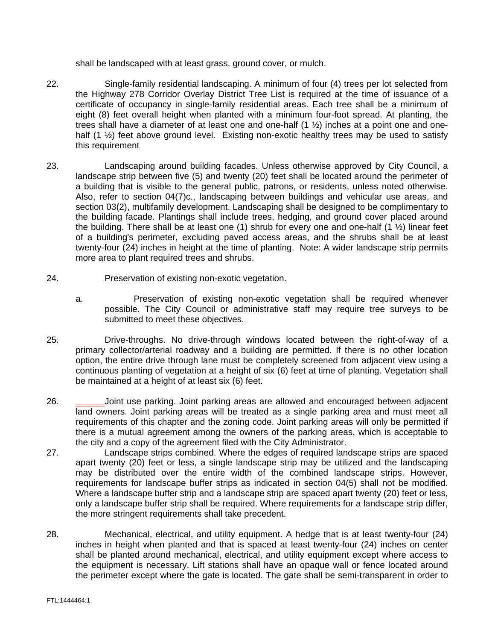shall be landscaped with at least grass, ground cover, or mulch.

- 22. Single-family residential landscaping. A minimum of four (4) trees per lot selected from the Highway 278 Corridor Overlay District Tree List is required at the time of issuance of a certificate of occupancy in single-family residential areas. Each tree shall be a minimum of eight (8) feet overall height when planted with a minimum four-foot spread. At planting, the trees shall have a diameter of at least one and one-half (1 ½) inches at a point one and onehalf (1  $\frac{1}{2}$ ) feet above ground level. Existing non-exotic healthy trees may be used to satisfy this requirement
- 23. Landscaping around building facades. Unless otherwise approved by City Council, a landscape strip between five (5) and twenty (20) feet shall be located around the perimeter of a building that is visible to the general public, patrons, or residents, unless noted otherwise. Also, refer to section 04(7)c., landscaping between buildings and vehicular use areas, and section 03(2), multifamily development. Landscaping shall be designed to be complimentary to the building facade. Plantings shall include trees, hedging, and ground cover placed around the building. There shall be at least one (1) shrub for every one and one-half (1 ½) linear feet of a building's perimeter, excluding paved access areas, and the shrubs shall be at least twenty-four (24) inches in height at the time of planting. Note: A wider landscape strip permits more area to plant required trees and shrubs.
- 24. Preservation of existing non-exotic vegetation.
	- a. Preservation of existing non-exotic vegetation shall be required whenever possible. The City Council or administrative staff may require tree surveys to be submitted to meet these objectives.
- 25. Drive-throughs. No drive-through windows located between the right-of-way of a primary collector/arterial roadway and a building are permitted. If there is no other location option, the entire drive through lane must be completely screened from adjacent view using a continuous planting of vegetation at a height of six (6) feet at time of planting. Vegetation shall be maintained at a height of at least six (6) feet.
- 26. Joint use parking. Joint parking areas are allowed and encouraged between adjacent land owners. Joint parking areas will be treated as a single parking area and must meet all requirements of this chapter and the zoning code. Joint parking areas will only be permitted if there is a mutual agreement among the owners of the parking areas, which is acceptable to the city and a copy of the agreement filed with the City Administrator.
- 27. Landscape strips combined. Where the edges of required landscape strips are spaced apart twenty (20) feet or less, a single landscape strip may be utilized and the landscaping may be distributed over the entire width of the combined landscape strips. However, requirements for landscape buffer strips as indicated in section 04(5) shall not be modified. Where a landscape buffer strip and a landscape strip are spaced apart twenty (20) feet or less, only a landscape buffer strip shall be required. Where requirements for a landscape strip differ, the more stringent requirements shall take precedent.
- 28. Mechanical, electrical, and utility equipment. A hedge that is at least twenty-four (24) inches in height when planted and that is spaced at least twenty-four (24) inches on center shall be planted around mechanical, electrical, and utility equipment except where access to the equipment is necessary. Lift stations shall have an opaque wall or fence located around the perimeter except where the gate is located. The gate shall be semi-transparent in order to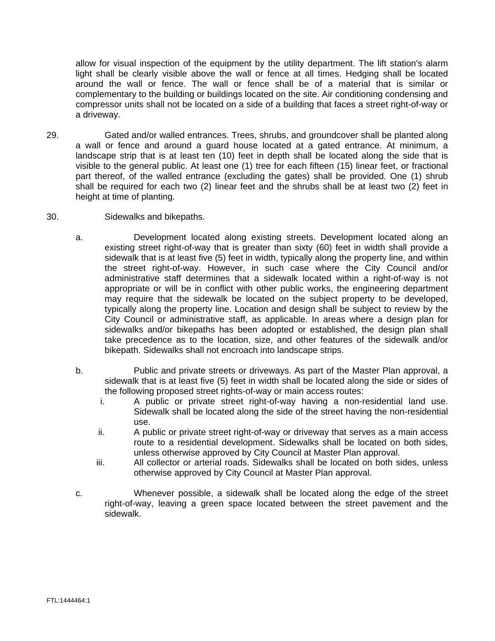allow for visual inspection of the equipment by the utility department. The lift station's alarm light shall be clearly visible above the wall or fence at all times. Hedging shall be located around the wall or fence. The wall or fence shall be of a material that is similar or complementary to the building or buildings located on the site. Air conditioning condensing and compressor units shall not be located on a side of a building that faces a street right-of-way or a driveway.

- 29. Gated and/or walled entrances. Trees, shrubs, and groundcover shall be planted along a wall or fence and around a guard house located at a gated entrance. At minimum, a landscape strip that is at least ten (10) feet in depth shall be located along the side that is visible to the general public. At least one (1) tree for each fifteen (15) linear feet, or fractional part thereof, of the walled entrance (excluding the gates) shall be provided. One (1) shrub shall be required for each two (2) linear feet and the shrubs shall be at least two (2) feet in height at time of planting.
- 30. Sidewalks and bikepaths.
	- a. Development located along existing streets. Development located along an existing street right-of-way that is greater than sixty (60) feet in width shall provide a sidewalk that is at least five (5) feet in width, typically along the property line, and within the street right-of-way. However, in such case where the City Council and/or administrative staff determines that a sidewalk located within a right-of-way is not appropriate or will be in conflict with other public works, the engineering department may require that the sidewalk be located on the subject property to be developed, typically along the property line. Location and design shall be subject to review by the City Council or administrative staff, as applicable. In areas where a design plan for sidewalks and/or bikepaths has been adopted or established, the design plan shall take precedence as to the location, size, and other features of the sidewalk and/or bikepath. Sidewalks shall not encroach into landscape strips.
	- b. Public and private streets or driveways. As part of the Master Plan approval, a sidewalk that is at least five (5) feet in width shall be located along the side or sides of the following proposed street rights-of-way or main access routes:
		- i. A public or private street right-of-way having a non-residential land use. Sidewalk shall be located along the side of the street having the non-residential use.
		- ii. A public or private street right-of-way or driveway that serves as a main access route to a residential development. Sidewalks shall be located on both sides, unless otherwise approved by City Council at Master Plan approval.
		- iii. All collector or arterial roads. Sidewalks shall be located on both sides, unless otherwise approved by City Council at Master Plan approval.
	- c. Whenever possible, a sidewalk shall be located along the edge of the street right-of-way, leaving a green space located between the street pavement and the sidewalk.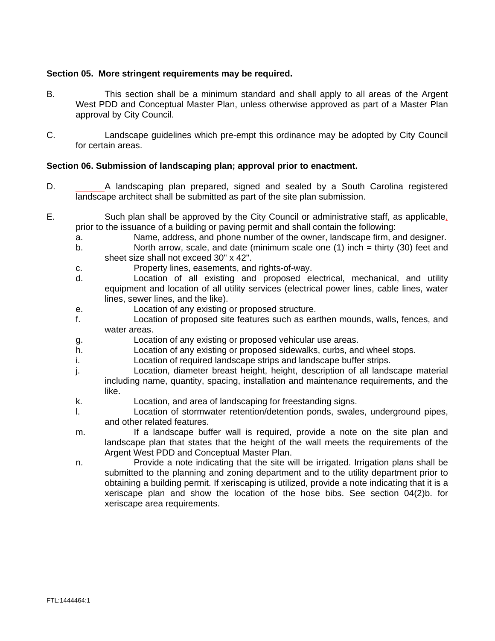### **Section 05. More stringent requirements may be required.**

- B. This section shall be a minimum standard and shall apply to all areas of the Argent West PDD and Conceptual Master Plan, unless otherwise approved as part of a Master Plan approval by City Council.
- C. Landscape guidelines which pre-empt this ordinance may be adopted by City Council for certain areas.

### **Section 06. Submission of landscaping plan; approval prior to enactment.**

- D. A landscaping plan prepared, signed and sealed by a South Carolina registered landscape architect shall be submitted as part of the site plan submission.
- E. Such plan shall be approved by the City Council or administrative staff, as applicable, prior to the issuance of a building or paving permit and shall contain the following:
	- a. Name, address, and phone number of the owner, landscape firm, and designer.
	- b. North arrow, scale, and date (minimum scale one (1) inch = thirty (30) feet and sheet size shall not exceed 30" x 42".
	- c. Property lines, easements, and rights-of-way.
	- d. Location of all existing and proposed electrical, mechanical, and utility equipment and location of all utility services (electrical power lines, cable lines, water lines, sewer lines, and the like).
	- e. Location of any existing or proposed structure.
	- f. Location of proposed site features such as earthen mounds, walls, fences, and water areas.
	- g. Location of any existing or proposed vehicular use areas.
	- h. Location of any existing or proposed sidewalks, curbs, and wheel stops.
	- i. Location of required landscape strips and landscape buffer strips.
	- j. Location, diameter breast height, height, description of all landscape material including name, quantity, spacing, installation and maintenance requirements, and the like.
	- k. Location, and area of landscaping for freestanding signs.
	- l. Location of stormwater retention/detention ponds, swales, underground pipes, and other related features.
	- m. If a landscape buffer wall is required, provide a note on the site plan and landscape plan that states that the height of the wall meets the requirements of the Argent West PDD and Conceptual Master Plan.
	- n. Provide a note indicating that the site will be irrigated. Irrigation plans shall be submitted to the planning and zoning department and to the utility department prior to obtaining a building permit. If xeriscaping is utilized, provide a note indicating that it is a xeriscape plan and show the location of the hose bibs. See section 04(2)b. for xeriscape area requirements.